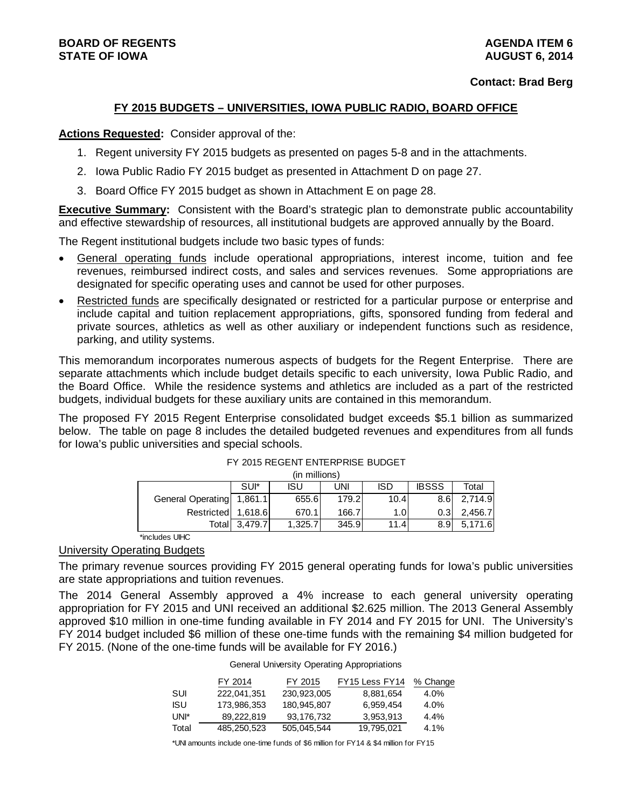# **FY 2015 BUDGETS – UNIVERSITIES, IOWA PUBLIC RADIO, BOARD OFFICE**

## **Actions Requested:** Consider approval of the:

- 1. Regent university FY 2015 budgets as presented on pages 5-8 and in the attachments.
- 2. Iowa Public Radio FY 2015 budget as presented in Attachment D on page 27.
- 3. Board Office FY 2015 budget as shown in Attachment E on page 28.

**Executive Summary:** Consistent with the Board's strategic plan to demonstrate public accountability and effective stewardship of resources, all institutional budgets are approved annually by the Board.

The Regent institutional budgets include two basic types of funds:

- General operating funds include operational appropriations, interest income, tuition and fee revenues, reimbursed indirect costs, and sales and services revenues. Some appropriations are designated for specific operating uses and cannot be used for other purposes.
- Restricted funds are specifically designated or restricted for a particular purpose or enterprise and include capital and tuition replacement appropriations, gifts, sponsored funding from federal and private sources, athletics as well as other auxiliary or independent functions such as residence, parking, and utility systems.

This memorandum incorporates numerous aspects of budgets for the Regent Enterprise. There are separate attachments which include budget details specific to each university, Iowa Public Radio, and the Board Office. While the residence systems and athletics are included as a part of the restricted budgets, individual budgets for these auxiliary units are contained in this memorandum.

The proposed FY 2015 Regent Enterprise consolidated budget exceeds \$5.1 billion as summarized below. The table on page 8 includes the detailed budgeted revenues and expenditures from all funds for Iowa's public universities and special schools.

|                           |         | (in millions) |            |                  |                  |         |
|---------------------------|---------|---------------|------------|------------------|------------------|---------|
|                           | SUI*    | <b>ISU</b>    | <b>UNI</b> | <b>ISD</b>       | <b>IBSSS</b>     | Total   |
| General Operating 1,861.1 |         | 655.6         | 179.2l     | 10.4             | 8.6 <sub>1</sub> | 2,714.9 |
| Restricted 1,618.6        |         | 670.1         | 166.7      | 1.0 <sub>l</sub> | 0.31             | 2.456.7 |
| Totall                    | 3.479.7 | 1.325.7       | 345.9      | 11.4l            | 8.9 <sup>°</sup> | 5,171.6 |
|                           |         |               |            |                  |                  |         |

# FY 2015 REGENT ENTERPRISE BUDGET

\*includes UIHC

# University Operating Budgets

The primary revenue sources providing FY 2015 general operating funds for Iowa's public universities are state appropriations and tuition revenues.

The 2014 General Assembly approved a 4% increase to each general university operating appropriation for FY 2015 and UNI received an additional \$2.625 million. The 2013 General Assembly approved \$10 million in one-time funding available in FY 2014 and FY 2015 for UNI. The University's FY 2014 budget included \$6 million of these one-time funds with the remaining \$4 million budgeted for FY 2015. (None of the one-time funds will be available for FY 2016.)

|  |  |  | General University Operating Appropriations |
|--|--|--|---------------------------------------------|
|--|--|--|---------------------------------------------|

|       | FY 2014     | FY 2015     | FY15 Less FY14 | % Change |
|-------|-------------|-------------|----------------|----------|
| SUL   | 222.041.351 | 230.923.005 | 8,881,654      | $4.0\%$  |
| ISU   | 173.986.353 | 180.945.807 | 6.959.454      | $4.0\%$  |
| UNI*  | 89.222.819  | 93.176.732  | 3.953.913      | $4.4\%$  |
| Total | 485.250.523 | 505.045.544 | 19.795.021     | $4.1\%$  |

\*UNI amounts include one-time funds of \$6 million for FY14 & \$4 million for FY15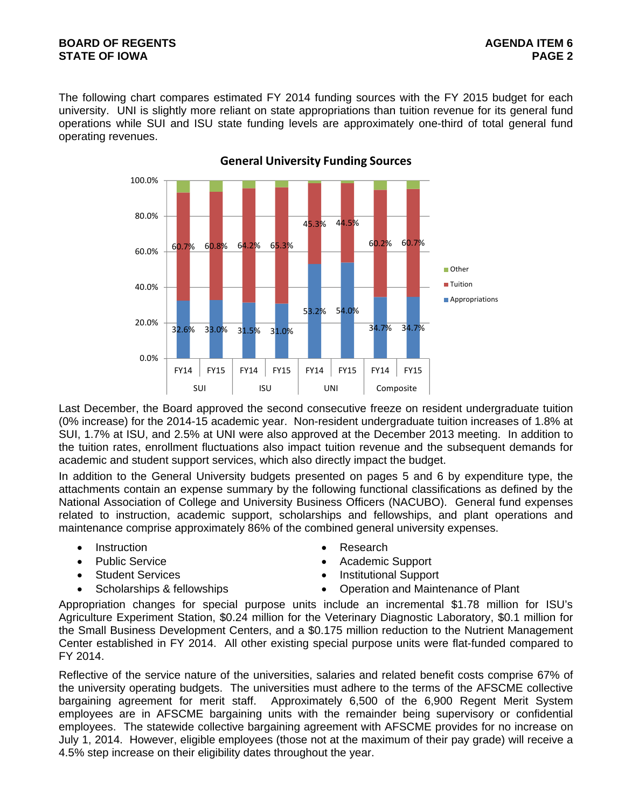# **BOARD OF REGENTS** AGENERATION OF REGENTS AGENERATION OF REGENTS AGENERATION OF REGENTS AGENERATION OF REGENTS AGENERATION OF REGENTS AGENERATION OF REGENTS AGENERATION OF REGENTS AGENERATION OF REGENTS AGENERATION OF REGE **STATE OF IOWA** PAGE 2

The following chart compares estimated FY 2014 funding sources with the FY 2015 budget for each university. UNI is slightly more reliant on state appropriations than tuition revenue for its general fund operations while SUI and ISU state funding levels are approximately one-third of total general fund operating revenues.



# **General University Funding Sources**

Last December, the Board approved the second consecutive freeze on resident undergraduate tuition (0% increase) for the 2014-15 academic year. Non-resident undergraduate tuition increases of 1.8% at SUI, 1.7% at ISU, and 2.5% at UNI were also approved at the December 2013 meeting. In addition to the tuition rates, enrollment fluctuations also impact tuition revenue and the subsequent demands for academic and student support services, which also directly impact the budget.

In addition to the General University budgets presented on pages 5 and 6 by expenditure type, the attachments contain an expense summary by the following functional classifications as defined by the National Association of College and University Business Officers (NACUBO). General fund expenses related to instruction, academic support, scholarships and fellowships, and plant operations and maintenance comprise approximately 86% of the combined general university expenses.

- Instruction **Contract Contract Contract Contract Contract Contract Contract Contract Contract Contract Contract Contract Contract Contract Contract Contract Contract Contract Contract Contract Contract Contract Contract**
- 
- 
- 
- 
- Public Service **Academic Support Academic Support**
- Student Services **Institutional Support**
- Scholarships & fellowships **Operation and Maintenance of Plant**

Appropriation changes for special purpose units include an incremental \$1.78 million for ISU's Agriculture Experiment Station, \$0.24 million for the Veterinary Diagnostic Laboratory, \$0.1 million for the Small Business Development Centers, and a \$0.175 million reduction to the Nutrient Management Center established in FY 2014. All other existing special purpose units were flat-funded compared to FY 2014.

Reflective of the service nature of the universities, salaries and related benefit costs comprise 67% of the university operating budgets. The universities must adhere to the terms of the AFSCME collective bargaining agreement for merit staff. Approximately 6,500 of the 6,900 Regent Merit System employees are in AFSCME bargaining units with the remainder being supervisory or confidential employees. The statewide collective bargaining agreement with AFSCME provides for no increase on July 1, 2014. However, eligible employees (those not at the maximum of their pay grade) will receive a 4.5% step increase on their eligibility dates throughout the year.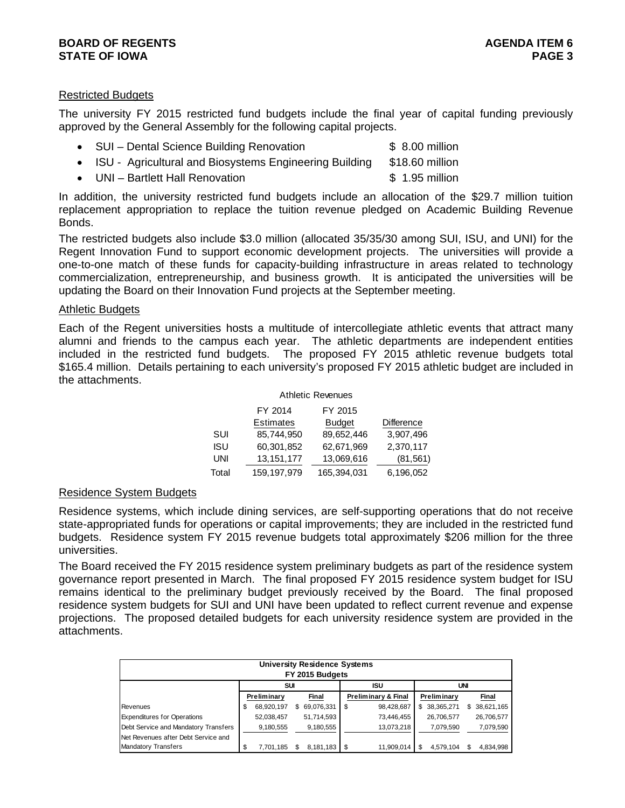# **BOARD OF REGENTS** AGENERATION OF REGENTS **STATE OF IOWA** PAGE 3

# Restricted Budgets

The university FY 2015 restricted fund budgets include the final year of capital funding previously approved by the General Assembly for the following capital projects.

- SUI Dental Science Building Renovation \$ 8.00 million
- ISU Agricultural and Biosystems Engineering Building \$18.60 million
- UNI Bartlett Hall Renovation **\$ 1.95 million**

In addition, the university restricted fund budgets include an allocation of the \$29.7 million tuition replacement appropriation to replace the tuition revenue pledged on Academic Building Revenue Bonds.

The restricted budgets also include \$3.0 million (allocated 35/35/30 among SUI, ISU, and UNI) for the Regent Innovation Fund to support economic development projects. The universities will provide a one-to-one match of these funds for capacity-building infrastructure in areas related to technology commercialization, entrepreneurship, and business growth. It is anticipated the universities will be updating the Board on their Innovation Fund projects at the September meeting.

### Athletic Budgets

Each of the Regent universities hosts a multitude of intercollegiate athletic events that attract many alumni and friends to the campus each year. The athletic departments are independent entities included in the restricted fund budgets. The proposed FY 2015 athletic revenue budgets total \$165.4 million. Details pertaining to each university's proposed FY 2015 athletic budget are included in the attachments.

|       |                  | <b>Athletic Revenues</b> |                   |
|-------|------------------|--------------------------|-------------------|
|       | FY 2014          | FY 2015                  |                   |
|       | <b>Estimates</b> | <b>Budget</b>            | <b>Difference</b> |
| SUI   | 85,744,950       | 89,652,446               | 3,907,496         |
| ISU   | 60,301,852       | 62,671,969               | 2,370,117         |
| UNI   | 13, 151, 177     | 13,069,616               | (81, 561)         |
| Total | 159, 197, 979    | 165,394,031              | 6,196,052         |

# Residence System Budgets

Residence systems, which include dining services, are self-supporting operations that do not receive state-appropriated funds for operations or capital improvements; they are included in the restricted fund budgets. Residence system FY 2015 revenue budgets total approximately \$206 million for the three universities.

The Board received the FY 2015 residence system preliminary budgets as part of the residence system governance report presented in March. The final proposed FY 2015 residence system budget for ISU remains identical to the preliminary budget previously received by the Board. The final proposed residence system budgets for SUI and UNI have been updated to reflect current revenue and expense projections. The proposed detailed budgets for each university residence system are provided in the attachments.

|                                      |    |             | <b>University Residence Systems</b><br>FY 2015 Budgets |   |                     |                  |     |            |
|--------------------------------------|----|-------------|--------------------------------------------------------|---|---------------------|------------------|-----|------------|
|                                      |    | SUI         |                                                        |   | ISU                 |                  | UNI |            |
|                                      |    | Preliminary | Final                                                  |   | Preliminary & Final | Preliminary      |     | Final      |
| Revenues                             | S  | 68,920,197  | \$<br>69,076,331                                       | S | 98,428,687          | \$<br>38,365,271 | S.  | 38,621,165 |
| <b>Expenditures for Operations</b>   |    | 52,038,457  | 51,714,593                                             |   | 73.446.455          | 26,706,577       |     | 26,706,577 |
| Debt Service and Mandatory Transfers |    | 9,180,555   | 9,180,555                                              |   | 13,073,218          | 7,079,590        |     | 7,079,590  |
| Net Revenues after Debt Service and  |    |             |                                                        |   |                     |                  |     |            |
| <b>Mandatory Transfers</b>           | \$ | 7.701.185   | 8,181,183                                              |   | 11,909,014          | \$<br>4.579.104  |     | 4,834,998  |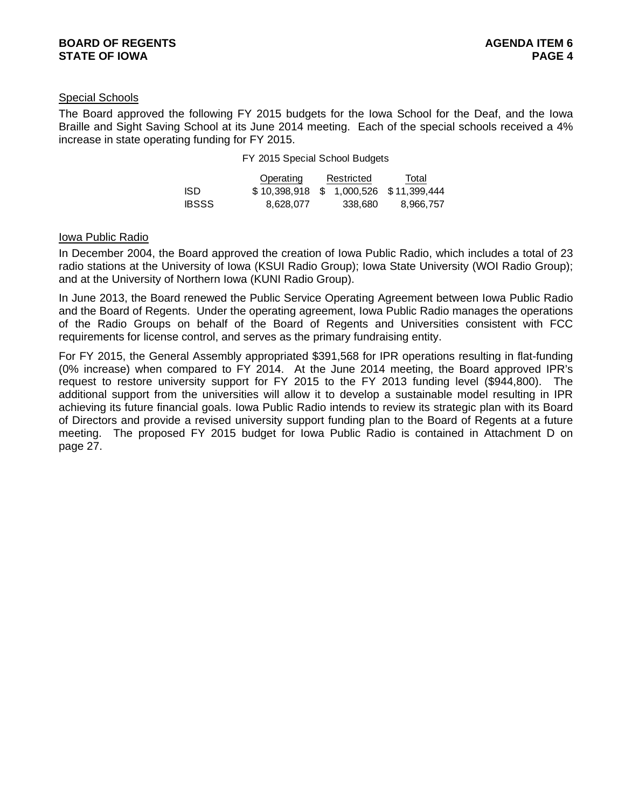# Special Schools

The Board approved the following FY 2015 budgets for the Iowa School for the Deaf, and the Iowa Braille and Sight Saving School at its June 2014 meeting. Each of the special schools received a 4% increase in state operating funding for FY 2015.

#### FY 2015 Special School Budgets

|              | Operating                             | Restricted | Total     |
|--------------|---------------------------------------|------------|-----------|
| ISD.         | \$10,398,918 \$1,000,526 \$11,399,444 |            |           |
| <b>IBSSS</b> | 8.628.077                             | 338.680    | 8.966.757 |

### Iowa Public Radio

In December 2004, the Board approved the creation of Iowa Public Radio, which includes a total of 23 radio stations at the University of Iowa (KSUI Radio Group); Iowa State University (WOI Radio Group); and at the University of Northern Iowa (KUNI Radio Group).

In June 2013, the Board renewed the Public Service Operating Agreement between Iowa Public Radio and the Board of Regents. Under the operating agreement, Iowa Public Radio manages the operations of the Radio Groups on behalf of the Board of Regents and Universities consistent with FCC requirements for license control, and serves as the primary fundraising entity.

For FY 2015, the General Assembly appropriated \$391,568 for IPR operations resulting in flat-funding (0% increase) when compared to FY 2014. At the June 2014 meeting, the Board approved IPR's request to restore university support for FY 2015 to the FY 2013 funding level (\$944,800). The additional support from the universities will allow it to develop a sustainable model resulting in IPR achieving its future financial goals. Iowa Public Radio intends to review its strategic plan with its Board of Directors and provide a revised university support funding plan to the Board of Regents at a future meeting. The proposed FY 2015 budget for Iowa Public Radio is contained in Attachment D on page 27.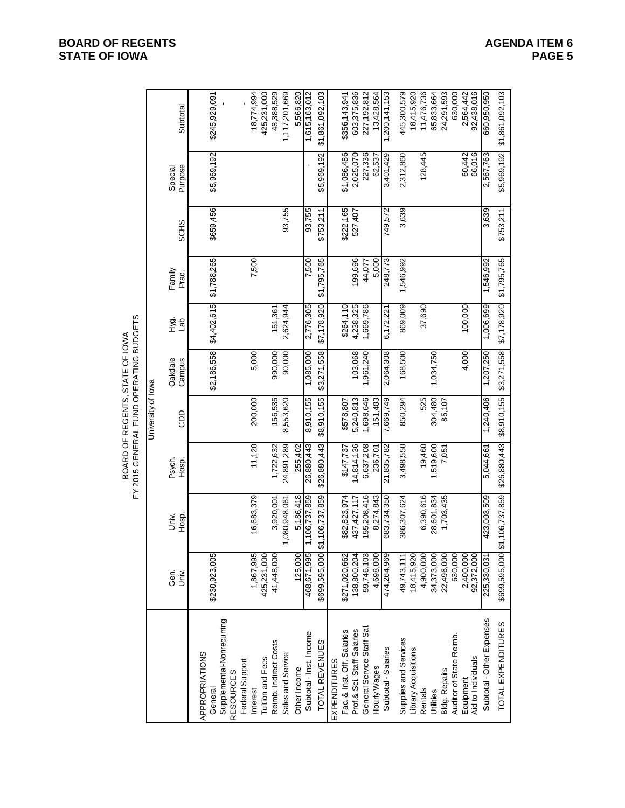|                                        | Subtotal           | \$245,929,091                                          | 18,774,994                                      | 425,231,000<br>48,388,529                 | 1,117,201,669<br>5,566,820        | 1,615,163,012           | \$1,861,092,103 | \$356,143,941                              | 603,375,836                | 227, 192, 812              | 13,428,564   | 1,200,141,153       | 445,300,579           | 18,415,920           | 11,476,736 | 65,833,664 | 24,291,593           | 630,000                 | 2,564,442<br>92,438,016 |                    | 660,950,950               | \$5,969,192 \$1,861,092,103   |
|----------------------------------------|--------------------|--------------------------------------------------------|-------------------------------------------------|-------------------------------------------|-----------------------------------|-------------------------|-----------------|--------------------------------------------|----------------------------|----------------------------|--------------|---------------------|-----------------------|----------------------|------------|------------|----------------------|-------------------------|-------------------------|--------------------|---------------------------|-------------------------------|
|                                        | Purpose<br>Special | \$5,969,192                                            |                                                 |                                           |                                   |                         | \$5,969,192     | \$1,086,486                                | 2,025,070                  | 227,336                    | 62,537       | 3,401,429           | 2,312,860             |                      | 128,445    |            |                      |                         | 60,442                  | 66,016             | 2,567,763                 |                               |
|                                        | <b>SCHS</b>        | \$659,456                                              |                                                 |                                           | 93,755                            | 93,755                  | \$753,211       | \$222,165                                  | 527,407                    |                            |              | 749,572             | 3,639                 |                      |            |            |                      |                         |                         |                    | 3,639                     | \$753,211                     |
|                                        | Family<br>Prac.    | \$1,788,265                                            | 7,500                                           |                                           |                                   | 7,500                   | \$1,795,765     |                                            | 199,696                    | 44,077                     | 5,000        | 248,773             | 1,546,992             |                      |            |            |                      |                         |                         |                    | 1,546,992                 | \$1,795,765                   |
|                                        | Hyg.<br>del        | \$4,402,615                                            |                                                 | 151,361                                   | 2,624,944                         | 2,776,305               | \$7,178,920     | \$264,110                                  | 4,238,325                  | 1,669,786                  |              | 6,172,221           | 869,009               |                      | 37,690     |            |                      |                         | 100,000                 |                    | 1,006,699                 | \$7,178,920                   |
| FY 2015 GENERAL FUND OPERATING BUDGETS | Oakdale<br>Campus  | \$2,186,558                                            | 5,000                                           | 990,000                                   | 90,000                            | 1,085,000               | \$3,271,558     |                                            | 103,068                    | 1,961,240                  |              | 2,064,308           | 168,500               |                      |            | 1,034,750  |                      |                         | 4,000                   |                    | 1,207,250                 | \$3,271,558                   |
| University of lowa                     | ado                |                                                        | 200,000                                         | 156,535                                   | 8,553,620                         | 8,910,155               | \$8,910,155     | \$578,807                                  | 5,240,813                  | 1,698,646                  | 151,483      | 7,669,749           | 850,294               |                      | 525        | 304,480    | 85,107               |                         |                         |                    | 1,240,406                 | \$26,880,443 \$8,910,155      |
|                                        | Psych.<br>Hosp.    |                                                        | 11,120                                          | 1,722,632                                 | 24,891,289<br>255,402             | 26,880,443              | \$26,880,443    | \$147,737                                  | 14,814,136                 | 6,637,208                  | 236,701      | 21,835,782          | 3,498,550             |                      | 19,460     | 1,519,600  | 7,051                |                         |                         |                    | 5,044,661                 |                               |
|                                        | Univ.<br>Hosp.     |                                                        | 16,683,379                                      | 3,920,001                                 | 5,186,418<br>1,080,948,061        | 1,106,737,859           | \$1,106,737,859 | \$82,823,974                               | 437,427,117                | 155,208,416                | 8,274,843    | 683,734,350         | 386,307,624           |                      | 6,390,616  | 28,601,834 | 1,703,435            |                         |                         |                    | 423,003,509               | \$699,595,000 \$1,106,737,859 |
|                                        | Gen.<br>Univ.      | \$230,923,005                                          | 1,867,995                                       | 425,231,000<br>41,448,000                 | 125,000                           | 468, 671, 995           | \$699,595,000   | \$271,020,662                              | 138,800,204                | 59,746,103                 | 4,698,000    | 474,264,969         | 49,743,111            | 18,415,920           | 4,900,000  | 34,373,000 | 22,496,000           | 630,000                 | 92,372,000<br>2,400,000 |                    | 225,330,031               |                               |
|                                        |                    | Supplemental-Nonrecurring<br>APPROPRIATIONS<br>General | Federal Support<br><b>RESOURCES</b><br>Interest | Reimb. Indirect Costs<br>Tuition and Fees | Sales and Service<br>Other Income | Subtotal - Inst. Income | TOTAL REVENUES  | Fac. & Inst. Off. Salaries<br>EXPENDITURES | Prof.& Sci. Staff Salaries | General Service Staff Sal. | Hourly Wages | Subtotal - Salaries | Supplies and Services | Library Acquisitions | Rentals    | Utilities  | <b>Bldg. Repairs</b> | Auditor of State Reimb. | Equipment               | Aid to Individuals | Subtotal - Other Expenses | TOTAL EXPENDITURES            |

# **BOARD OF REGENTS**<br> **BOARD OF REGENTS**<br> **BOARD OF IOWA**<br>
PAGE 5 **STATE OF IOWA**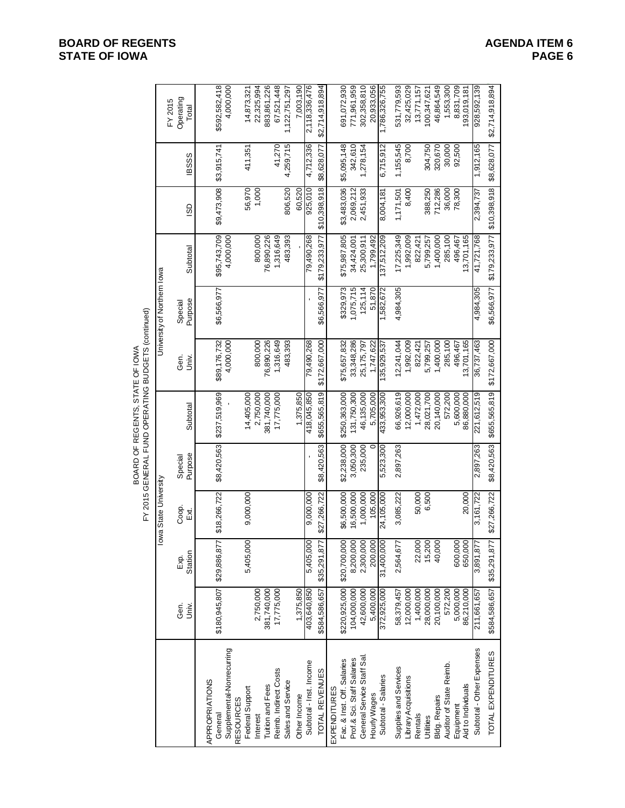|                                                    |                             | Operating<br>FY 2015<br>Total | \$592,582,418<br>4,000,000                             | 22,325,994<br>14,873,321                        | 883,861,226      | 67,521,448<br>1,122,751,297                | 7,003,190    | 2,118,336,476         | \$2,714,918,894 | 691,072,930                                       | 771,961,959                | 302,358,810               | 20,933,056   | 1,786,326,755       | 531,779,593           | 32,425,029           | 13,771,157 | 100,347,621      | 46,864,549           | 1,553,300               | 8,831,709 | 193,019,181        | 928,592,139               | \$8,628,077 \$2,714,918,894 |
|----------------------------------------------------|-----------------------------|-------------------------------|--------------------------------------------------------|-------------------------------------------------|------------------|--------------------------------------------|--------------|-----------------------|-----------------|---------------------------------------------------|----------------------------|---------------------------|--------------|---------------------|-----------------------|----------------------|------------|------------------|----------------------|-------------------------|-----------|--------------------|---------------------------|-----------------------------|
|                                                    |                             | <b>BSSS</b>                   | \$3,915,741                                            | 411,351                                         |                  | 41,270<br>4,259,715                        |              | 4,712,336             | \$8,628,077     | \$5,095,148                                       | 342,610                    | 1,278,154                 |              | 6,715,912           | 1,155,545             | 8,700                |            | 304,750          | 320,670              | 30,000                  | 92,500    |                    | 1,912,165                 |                             |
|                                                    |                             | SD                            | \$9,473,908                                            | 56,970<br>1,000                                 |                  | 806,520                                    | 60,520       | 925,010               | \$10,398,918    | \$3,483,036                                       | 2,069,212                  | 2,451,933                 |              | 8,004,181           | 1,171,501             | 8,400                |            | 388,250          | 712,286              | 36,000                  | 78,300    |                    | 2,394,737                 |                             |
|                                                    |                             | Subtotal                      | \$95,743,709<br>4,000,000                              | 800,000                                         | 76,890,226       | 483,393<br>1,316,649                       |              | 79,490,268            | \$179,233,977   | \$75,987,805                                      | 34,424,001                 | 25,300,911                | 1,799,492    | 37,512,209          | 17,225,349            | 1,992,009            | 822,421    | 5,799,257        | 1,400,000            | 285,100                 | 496,467   | 13,701,165         | 41,721,768                | \$179,233,977 \$10,398,918  |
|                                                    | University of Northern lowa | Purpose<br>Special            | \$6,566,977                                            |                                                 |                  |                                            |              |                       | \$6,566,977     | \$329,973                                         | 1,075,715                  | 125,114                   | 51,870       | 582,672             | 4,984,305             |                      |            |                  |                      |                         |           |                    | 4,984,305                 | \$6,566,977                 |
| FY 2015 GENERAL FUND OPERATING BUDGETS (continued) |                             | Gen.<br>Univ.                 | \$89,176,732<br>4,000,000                              | 800,000                                         | 76,890,226       | 1,316,649<br>483,393                       |              | 79,490,268            | \$172,667,000   | \$75,657,832                                      | 33,348,286                 | 25,175,797                | 1,747,622    | 35,929,537          | 12,241,044            | 1,992,009            | 822,421    | 5,799,257        | 1,400,000            | 285,100                 | 496,467   | 13,701,165         | 36,737,463                | \$172,667,000               |
| BOARD OF REGENTS, STATE OF IOWA                    |                             | Subtotal                      | \$237,519,969                                          | 14,405,000<br>2,750,000                         | 381,740,000      | 17,775,000                                 | 1,375,850    | 418,045,850           | \$655,565,819   | \$250,363,000                                     | 131,750,300                | 46,135,000                | 5,705,000    | 433,953,300         | 66,926,619            | 12,000,000           | 1,472,000  | 28,021,700       | 20,140,000           | 572,200                 | 5,600,000 | 86,880,000         | 221,612,519               | \$655,565,819               |
|                                                    |                             | Purpose<br>Special            | \$8,420,563                                            |                                                 |                  |                                            |              |                       | \$8,420,563     | \$2,238,000                                       | 3,050,300                  | 235,000                   |              | 5,523,300           | 2,897,263             |                      |            |                  |                      |                         |           |                    | 2,897,263                 | \$8,420,563                 |
|                                                    | lowa State University       | Coop.<br>Ex.                  | \$18,266,722                                           | 9,000,000                                       |                  |                                            |              | 9,000,000             | \$27,266,722    | \$6,500,000                                       | 16,500,000                 | 1,000,000                 | 105.000      | 24,105,000          | 3,085,222             |                      | 50,000     | 6,500            |                      |                         |           | 20,000             | 3,161,722                 | \$27,266,722                |
|                                                    |                             | Station<br>g.<br>Ex           | \$29,886,87                                            | 5,405,000                                       |                  |                                            |              | 5,405,000             | \$35,291,87     | \$20,700,000                                      | 8,200,000                  | 2,300,000                 | 200,000      | 31,400,000          | 2,564,677             |                      | 22,000     | 15,200           | 40,000               |                         | 600,000   | 650,000            | 3,891,877                 |                             |
|                                                    |                             | Gen.<br>Univ.                 | \$180,945,807                                          | 2,750,000                                       | 381,740,000      | 17,775,000                                 | 1,375,850    | 403,640,850           | \$584,586,657   | \$220,925,000                                     | 104,000,000                | 42,600,000                | 5,400,000    | 372,925,000         | 58,379,457            | 12,000,000           | 1,400,000  | 28,000,000       | 20,100,000           | 572,200                 | 5,000,000 | 86,210,000         | 211,661,657               | \$584,586,657 \$35,291,87   |
|                                                    |                             |                               | Supplemental-Nonrecurring<br>APPROPRIATIONS<br>General | Federal Support<br><b>RESOURCES</b><br>Interest | Tuition and Fees | Reimb. Indirect Costs<br>Sales and Service | Other Income | Subtotal-Inst. Income | TOTAL REVENUES  | Fac. & Inst. Off. Salaries<br><b>EXPENDITURES</b> | Prof.& Sci. Staff Salaries | General Service Staff Sal | Hourly Wages | Subtotal - Salaries | Supplies and Services | Library Acquisitions | Rentals    | <b>Utilities</b> | <b>Bldg. Repairs</b> | Auditor of State Reimb. | Equipment | Aid to Individuals | Subtotal - Other Expenses | TOTAL EXPENDITURES          |

# **BOARD OF REGENTS**<br> **BOARD OF REGENTS**<br> **BOARD OF IOWA**<br>
PAGE 6 **STATE OF IOWA**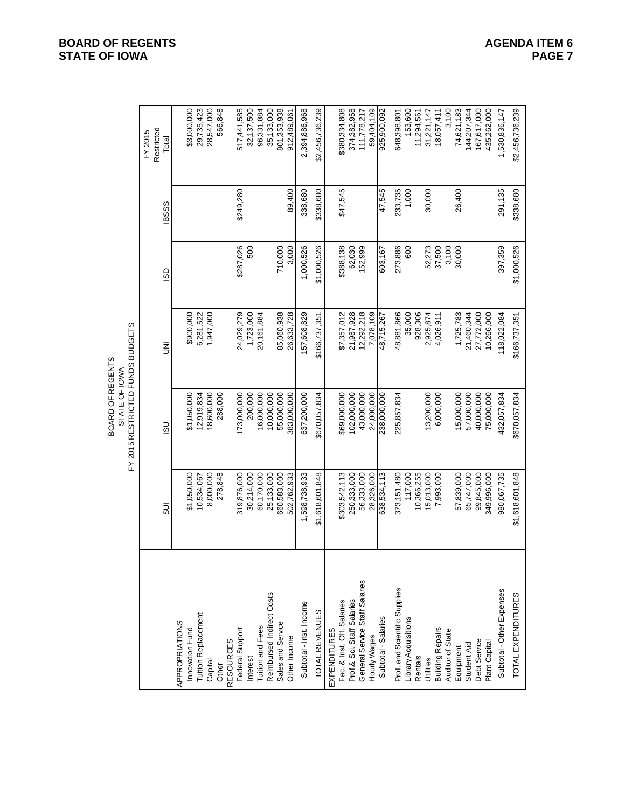|                                |                 | FY 2015 RESTRICTED FUNDS BUDGETS<br>BOARD OF REGENTS<br>STATE OF IOWA |               |             |              |                                |
|--------------------------------|-----------------|-----------------------------------------------------------------------|---------------|-------------|--------------|--------------------------------|
|                                | $\overline{5}$  | $\overline{5}$                                                        | ξ             | GS          | <b>IBSSS</b> | Restricted<br>FY 2015<br>Total |
| APPROPRIATIONS                 |                 |                                                                       |               |             |              |                                |
| Innovation Fund                | \$1,050,000     | \$1,050,000                                                           | \$900,000     |             |              | \$3,000,000                    |
| <b>Tuition Replacement</b>     | 10,534,067      | 12,919,834                                                            | 6,281,522     |             |              | 29,735,423                     |
| Capital                        | 8,000,000       | 18,600,000                                                            | 1,947,000     |             |              | 28,547,000                     |
| Other                          | 278,848         | 288,000                                                               |               |             |              | 566,848                        |
| <b>RESOURCES</b>               |                 |                                                                       |               |             |              |                                |
| Federal Support                | 319,876,000     | 173,000,000                                                           | 24,029,279    | \$287,026   | \$249,280    | 517,441,585                    |
| Interest                       | 30,214,000      | 200,000                                                               | 1,723,000     | 500         |              | 32,137,500                     |
| Tuition and Fees               | 60,170,000      | 16,000,000                                                            | 20,161,884    |             |              | 96,331,884                     |
| Reimbursed Indirect Costs      | 25,133,000      | 10,000,000                                                            |               |             |              | 35,133,000                     |
| Sales and Service              | 660,583,000     | 55,000,000                                                            | 85,060,938    | 710,000     |              | 801,353,938                    |
| Other Income                   | 502,762,933     | 383,000,000                                                           | 26,633,728    | 3,000       | 89,400       | 912,489,061                    |
| Subtotal - Inst. Income        | 1,598,738,933   | 637,200,000                                                           | 57,608,829    | 1,000,526   | 338,680      | 2,394,886,968                  |
| TOTAL REVENUES                 | \$1,618,601,848 | \$670,057,834                                                         | \$166,737,351 | \$1,000,526 | \$338,680    | \$2,456,736,239                |
| <b>EXPENDITURES</b>            |                 |                                                                       |               |             |              |                                |
| Fac. & Inst. Off. Salaries     | \$303,542,113   | \$69,000,000                                                          | \$7,357,012   | \$388,138   | \$47,545     | \$380,334,808                  |
| Prof.& Sci. Staff Salaries     | 250,333,000     | 102,000,000                                                           | 21,987,928    | 62,030      |              | 374,382,958                    |
| General Service Staff Salaries | 56,333,000      | 43,000,000                                                            | 12,292,218    | 152,999     |              | 111,778,217                    |
| Hourly Wages                   | 28,326,000      | 24,000,000                                                            | 7,078,109     |             |              | 59,404,109                     |
| Subtotal - Salaries            | 638,534,113     | 238,000,000                                                           | 48,715,267    | 603,167     | 47,545       | 925,900,092                    |
| Prof. and Scientific Supplies  | 373, 151, 480   | 225,857,834                                                           | 48,881,866    | 273,886     | 233,735      | 648,398,801                    |
| Library Acquisitions           | 117,000         |                                                                       | 35,000        | 600         | 1,000        | 153,600                        |
| Rentals                        | 10,366,255      |                                                                       | 928,306       |             |              | 11,294,561                     |
| Utilities                      | 15,013,000      | 13,200,000                                                            | 2,925,874     | 52,273      | 30,000       | 31,221,147                     |
| <b>Building Repairs</b>        | 7,993,000       | 6,000,000                                                             | 4,026,911     | 37,500      |              | 18,057,411                     |
| Auditor of State               |                 |                                                                       |               | 3,100       |              | 3,100                          |
| Equipment                      | 57,839,000      | 15,000,000                                                            | 1,725,783     | 30,000      | 26,400       | 74,621,183                     |
| Student Aid                    | 65,747,000      | 57,000,000                                                            | 21,460,344    |             |              | 144,207,344                    |
| Debt Service                   | 99,845,000      | 40,000,000                                                            | 27,772,000    |             |              | 167,617,000                    |
| Plant Capital                  | 349,996,000     | 75,000,000                                                            | 10,266,000    |             |              | 435,262,000                    |
| Subtotal - Other Expenses      | 980,067,735     | 432,057,834                                                           | 118,022,084   | 397,359     | 291,135      | 1,530,836,147                  |
| TOTAL EXPENDITURES             | \$1,618,601,848 | \$670,057,834                                                         | \$166,737,351 | \$1,000,526 | \$338,680    | \$2,456,736,239                |

# **BOARD OF REGENTS**<br> **BOARD OF REGENTS**<br> **BOARD OF IOWA**<br>
PAGE 7 **STATE OF IOWA**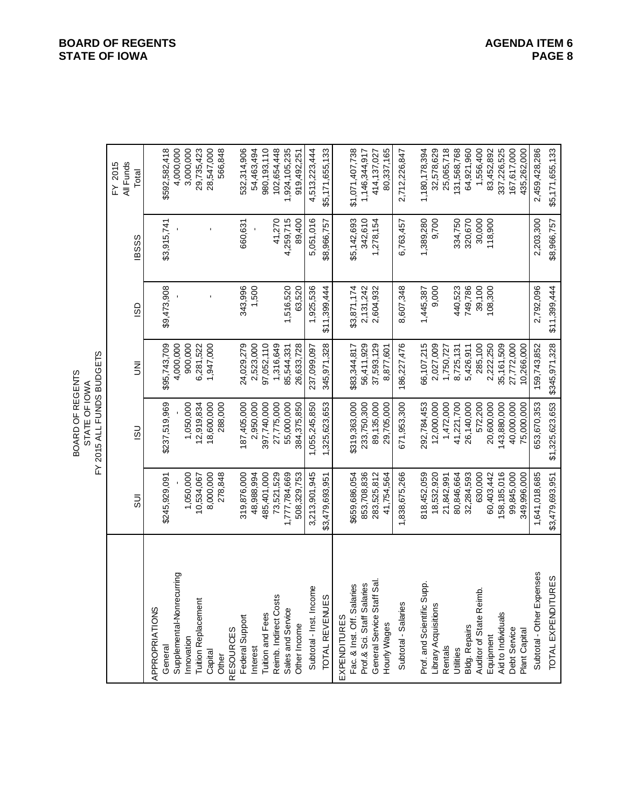|                                |                 | FY 2015 ALL FUNDS BUDGETS<br>BOARD OF REGENTS<br>STATE OF IOWA |               |              |              |                               |
|--------------------------------|-----------------|----------------------------------------------------------------|---------------|--------------|--------------|-------------------------------|
|                                | $\frac{1}{5}$   | $\frac{1}{2}$                                                  | Ξ             | <b>GS</b>    | <b>IBSSS</b> | FY 2015<br>All Funds<br>Total |
|                                |                 |                                                                |               |              |              |                               |
| APPROPRIATIONS<br>General      | \$245,929,091   | \$237,519,969                                                  | \$95,743,709  | \$9,473,908  | \$3,915,741  | \$592,582,418                 |
| Supplemental-Nonrecurring      |                 |                                                                | 4,000,000     |              |              | 4,000,000                     |
| Innovation                     | 1,050,000       | 1,050,000                                                      | 900,000       |              |              | 3,000,000                     |
| Tuition Replacemen             | 10,534,067      | 12,919,834                                                     | 6,281,522     |              |              | 29,735,423                    |
| Capital                        | 8,000,000       | 18,600,000                                                     | 1,947,000     |              |              | 28,547,000                    |
| Other                          | 278,848         | 288,000                                                        |               |              |              | 566,848                       |
| <b>RESOURCES</b>               |                 |                                                                |               |              |              |                               |
| Federal Support                | 319,876,000     | 187,405,000                                                    | 24,029,279    | 343,996      | 660,631      | 532,314,906                   |
| Interest                       | 48,988,994      | 2,950,000                                                      | 2,523,000     | 1,500        |              | 54,463,494                    |
| Tuition and Fees               | 485,401,000     | 397,740,000                                                    | 97,052,110    |              |              | 980,193,110                   |
| Reimb. Indirect Costs          | 73,521,529      | 27,775,000                                                     | 1,316,649     |              | 41,270       | 102,654,448                   |
| Sales and Service              | 1,777,784,669   | 55,000,000                                                     | 85,544,331    | 1,516,520    | 4,259,715    | 1,924,105,235                 |
| Other Income                   | 508,329,753     | 384,375,850                                                    | 26,633,728    | 63,520       | 89,400       | 919,492,251                   |
| Subtotal - Inst. Income        | 3,213,901,945   | 1,055,245,850                                                  | 237,099,097   | 1,925,536    | 5,051,016    | 4,513,223,444                 |
| S<br><b>TOTAL REVENUE</b>      | \$3,479,693,951 | 1,325,623,653                                                  | 345,971,328   | \$11,399,444 | \$8,966,757  | \$5,171,655,133               |
| EXPENDITURES                   |                 |                                                                |               |              |              |                               |
| Fac. & Inst. Off. Salaries     | \$659,686,054   | \$319,363,000                                                  | \$83,344,817  | \$3,871,174  | \$5,142,693  | \$1,071,407,738               |
| Prof.& Sci. Staff Salaries     | 853,708,836     | 233,750,300                                                    | 56,411,929    | 2,131,242    | 342,610      | 1,146,344,917                 |
| General Service Staff Sal      | 283,525,812     | 89,135,000                                                     | 37,593,129    | 2,604,932    | 1,278,154    | 414,137,027                   |
| Hourly Wages                   | 41,754,564      | 29,705,000                                                     | 8,877,601     |              |              | 80,337,165                    |
| Subtotal - Salaries            | 1,838,675,266   | 671,953,300                                                    | 186,227,476   | 8,607,348    | 6,763,457    | 2,712,226,847                 |
| Prof. and Scientific Supp      | 818,452,059     | 292,784,453                                                    | 66,107,215    | 1,445,387    | 1,389,280    | 1,180,178,394                 |
| Library Acquisitions           | 18,532,920      | 12,000,000                                                     | 2,027,009     | 9,000        | 9,700        | 32,578,629                    |
| Rentals                        | 21,842,991      | 1,472,000                                                      | 1,750,727     |              |              | 25,065,718                    |
| Utilities                      | 80,846,664      | 41,221,700                                                     | 8,725,131     | 440,523      | 334,750      | 131,568,768                   |
| Bldg. Repairs                  | 32,284,593      | 26,140,000                                                     | 5,426,911     | 749,786      | 320,670      | 64,921,960                    |
| Auditor of State Reimb.        | 630,000         | 572,200                                                        | 285,100       | 39,100       | 30,000       | 1,556,400                     |
| Equipment                      | 60,403,442      | 20,600,000                                                     | 2,222,250     | 108,300      | 118,900      | 83,452,892                    |
| Aid to Individuals             | 158,185,016     | 143,880,000                                                    | 35,161,509    |              |              | 337,226,525                   |
| Debt Service                   | 99,845,000      | 40,000,000                                                     | 27,772,000    |              |              | 167,617,000                   |
| Plant Capital                  | 349,996,000     | 75,000,000                                                     | 10,266,000    |              |              | 435,262,000                   |
| Subtotal - Other Expenses      | 1,641,018,685   | 653,670,353                                                    | 159,743,852   | 2,792,096    | 2,203,300    | 2,459,428,286                 |
| <b>TURES</b><br>TOTAL EXPENDIT | \$3,479,693,951 | \$1,325,623,653                                                | \$345,971,328 | \$11,399,444 | \$8,966,757  | \$5,171,655,133               |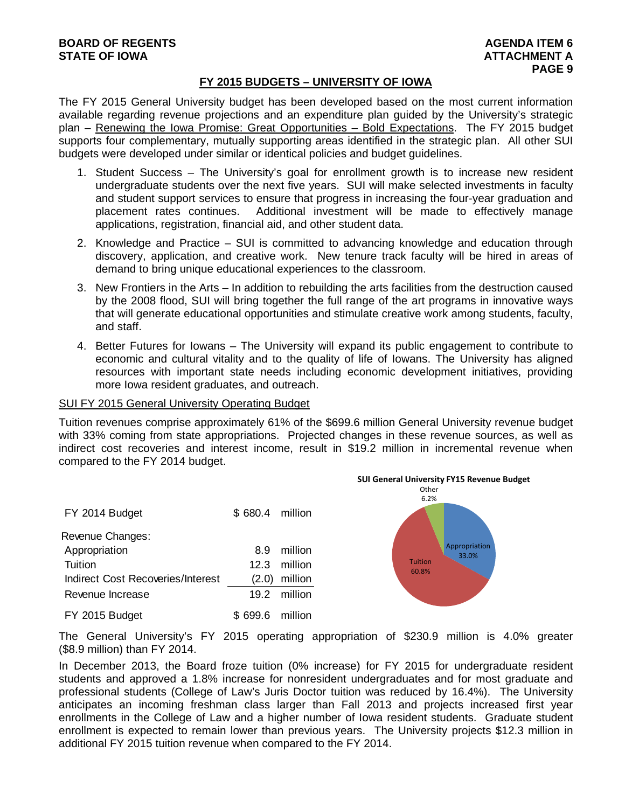# **FY 2015 BUDGETS – UNIVERSITY OF IOWA**

The FY 2015 General University budget has been developed based on the most current information available regarding revenue projections and an expenditure plan guided by the University's strategic plan – Renewing the Iowa Promise: Great Opportunities – Bold Expectations. The FY 2015 budget supports four complementary, mutually supporting areas identified in the strategic plan. All other SUI budgets were developed under similar or identical policies and budget guidelines.

- 1. Student Success The University's goal for enrollment growth is to increase new resident undergraduate students over the next five years. SUI will make selected investments in faculty and student support services to ensure that progress in increasing the four-year graduation and placement rates continues. Additional investment will be made to effectively manage applications, registration, financial aid, and other student data.
- 2. Knowledge and Practice SUI is committed to advancing knowledge and education through discovery, application, and creative work. New tenure track faculty will be hired in areas of demand to bring unique educational experiences to the classroom.
- 3. New Frontiers in the Arts In addition to rebuilding the arts facilities from the destruction caused by the 2008 flood, SUI will bring together the full range of the art programs in innovative ways that will generate educational opportunities and stimulate creative work among students, faculty, and staff.
- 4. Better Futures for Iowans The University will expand its public engagement to contribute to economic and cultural vitality and to the quality of life of Iowans. The University has aligned resources with important state needs including economic development initiatives, providing more Iowa resident graduates, and outreach.

#### SUI FY 2015 General University Operating Budget

Tuition revenues comprise approximately 61% of the \$699.6 million General University revenue budget with 33% coming from state appropriations. Projected changes in these revenue sources, as well as indirect cost recoveries and interest income, result in \$19.2 million in incremental revenue when compared to the FY 2014 budget.

| FY 2014 Budget                    | \$680.4 million |              |
|-----------------------------------|-----------------|--------------|
| Revenue Changes:                  |                 |              |
| Appropriation                     | 89              | million      |
| Tuition                           | 12.3            | million      |
| Indirect Cost Recoveries/Interest | (2.0)           | million      |
| Revenue Increase                  |                 | 19.2 million |
| FY 2015 Budget                    | \$699.6 million |              |



The General University's FY 2015 operating appropriation of \$230.9 million is 4.0% greater (\$8.9 million) than FY 2014.

In December 2013, the Board froze tuition (0% increase) for FY 2015 for undergraduate resident students and approved a 1.8% increase for nonresident undergraduates and for most graduate and professional students (College of Law's Juris Doctor tuition was reduced by 16.4%). The University anticipates an incoming freshman class larger than Fall 2013 and projects increased first year enrollments in the College of Law and a higher number of Iowa resident students. Graduate student enrollment is expected to remain lower than previous years. The University projects \$12.3 million in additional FY 2015 tuition revenue when compared to the FY 2014.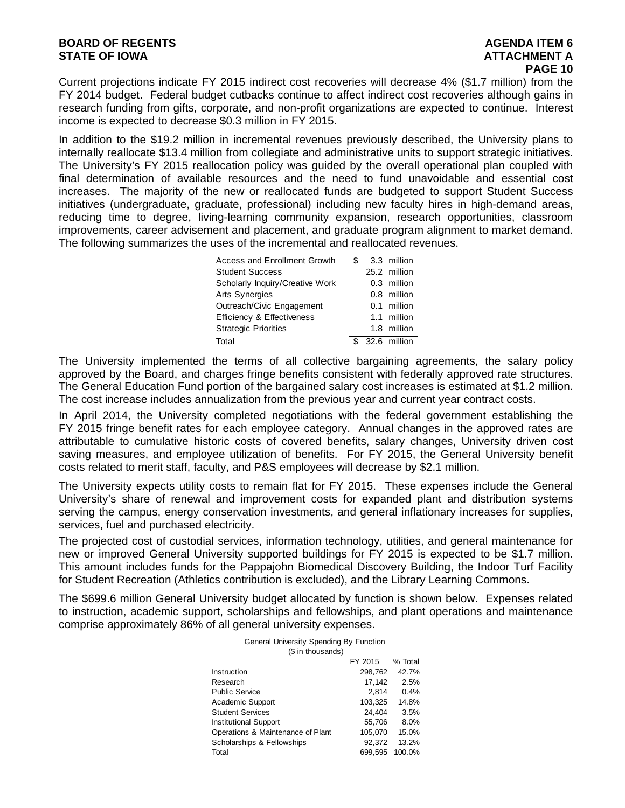# **BOARD OF REGENTS AGENTS** AGENDA ITEM 6 **STATE OF IOWA AND RESERVE A LOCAL CONSUMING A LOCAL CONSUMING A LOCAL CONSUMING A LOCAL CONSUMING A LOCAL CONSUMING A LOCAL CONSUMING A LOCAL CONSUMING A LOCAL CONSUMING A LOCAL CONSUMING A LOCAL CONSUMING A LOCAL CONSUMI**

Current projections indicate FY 2015 indirect cost recoveries will decrease 4% (\$1.7 million) from the FY 2014 budget. Federal budget cutbacks continue to affect indirect cost recoveries although gains in research funding from gifts, corporate, and non-profit organizations are expected to continue. Interest income is expected to decrease \$0.3 million in FY 2015.

In addition to the \$19.2 million in incremental revenues previously described, the University plans to internally reallocate \$13.4 million from collegiate and administrative units to support strategic initiatives. The University's FY 2015 reallocation policy was guided by the overall operational plan coupled with final determination of available resources and the need to fund unavoidable and essential cost increases. The majority of the new or reallocated funds are budgeted to support Student Success initiatives (undergraduate, graduate, professional) including new faculty hires in high-demand areas, reducing time to degree, living-learning community expansion, research opportunities, classroom improvements, career advisement and placement, and graduate program alignment to market demand. The following summarizes the uses of the incremental and reallocated revenues.

| <b>Access and Enrollment Growth</b>   |  | 3.3 million   |
|---------------------------------------|--|---------------|
| <b>Student Success</b>                |  | 25.2 million  |
| Scholarly Inquiry/Creative Work       |  | $0.3$ million |
| <b>Arts Synergies</b>                 |  | $0.8$ million |
| Outreach/Civic Engagement             |  | 0.1 million   |
| <b>Efficiency &amp; Effectiveness</b> |  | 1.1 million   |
| <b>Strategic Priorities</b>           |  | 1.8 million   |
| Total                                 |  | 32.6 million  |

The University implemented the terms of all collective bargaining agreements, the salary policy approved by the Board, and charges fringe benefits consistent with federally approved rate structures. The General Education Fund portion of the bargained salary cost increases is estimated at \$1.2 million. The cost increase includes annualization from the previous year and current year contract costs.

In April 2014, the University completed negotiations with the federal government establishing the FY 2015 fringe benefit rates for each employee category. Annual changes in the approved rates are attributable to cumulative historic costs of covered benefits, salary changes, University driven cost saving measures, and employee utilization of benefits. For FY 2015, the General University benefit costs related to merit staff, faculty, and P&S employees will decrease by \$2.1 million.

The University expects utility costs to remain flat for FY 2015. These expenses include the General University's share of renewal and improvement costs for expanded plant and distribution systems serving the campus, energy conservation investments, and general inflationary increases for supplies, services, fuel and purchased electricity.

The projected cost of custodial services, information technology, utilities, and general maintenance for new or improved General University supported buildings for FY 2015 is expected to be \$1.7 million. This amount includes funds for the Pappajohn Biomedical Discovery Building, the Indoor Turf Facility for Student Recreation (Athletics contribution is excluded), and the Library Learning Commons.

The \$699.6 million General University budget allocated by function is shown below. Expenses related to instruction, academic support, scholarships and fellowships, and plant operations and maintenance comprise approximately 86% of all general university expenses.

| General University Spending By Function |         |         |  |  |  |  |  |
|-----------------------------------------|---------|---------|--|--|--|--|--|
| (\$ in thousands)                       |         |         |  |  |  |  |  |
|                                         | FY 2015 | % Total |  |  |  |  |  |
| Instruction                             | 298,762 | 42.7%   |  |  |  |  |  |
| Research                                | 17,142  | 2.5%    |  |  |  |  |  |
| <b>Public Service</b>                   | 2.814   | 0.4%    |  |  |  |  |  |
| Academic Support                        | 103,325 | 14.8%   |  |  |  |  |  |
| <b>Student Services</b>                 | 24,404  | 3.5%    |  |  |  |  |  |
| <b>Institutional Support</b>            | 55,706  | 8.0%    |  |  |  |  |  |
| Operations & Maintenance of Plant       | 105,070 | 15.0%   |  |  |  |  |  |
| Scholarships & Fellowships              | 92,372  | 13.2%   |  |  |  |  |  |
| Total                                   | 699.595 | 100.0%  |  |  |  |  |  |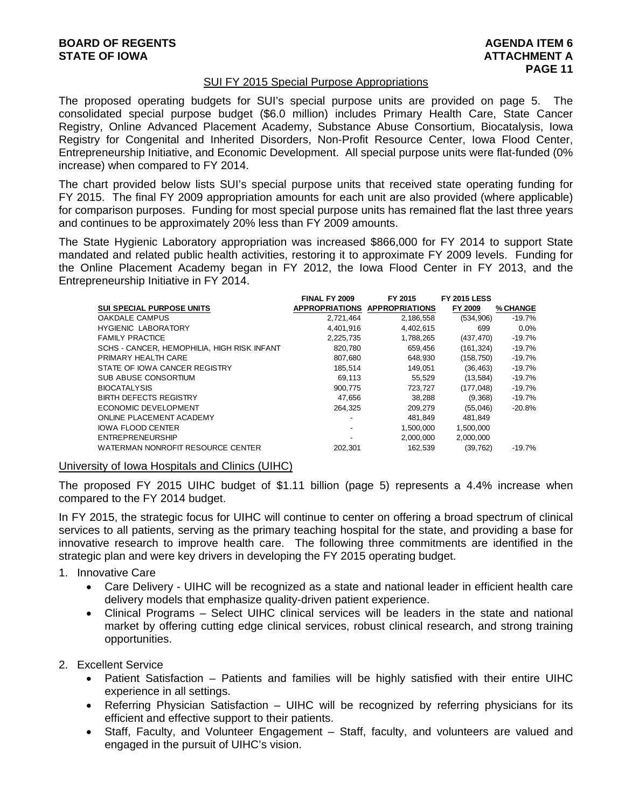### SUI FY 2015 Special Purpose Appropriations

The proposed operating budgets for SUI's special purpose units are provided on page 5. The consolidated special purpose budget (\$6.0 million) includes Primary Health Care, State Cancer Registry, Online Advanced Placement Academy, Substance Abuse Consortium, Biocatalysis, Iowa Registry for Congenital and Inherited Disorders, Non-Profit Resource Center, Iowa Flood Center, Entrepreneurship Initiative, and Economic Development. All special purpose units were flat-funded (0% increase) when compared to FY 2014.

The chart provided below lists SUI's special purpose units that received state operating funding for FY 2015. The final FY 2009 appropriation amounts for each unit are also provided (where applicable) for comparison purposes. Funding for most special purpose units has remained flat the last three years and continues to be approximately 20% less than FY 2009 amounts.

The State Hygienic Laboratory appropriation was increased \$866,000 for FY 2014 to support State mandated and related public health activities, restoring it to approximate FY 2009 levels. Funding for the Online Placement Academy began in FY 2012, the Iowa Flood Center in FY 2013, and the Entrepreneurship Initiative in FY 2014.

|                                             | <b>FINAL FY 2009</b> | FY 2015                       | <b>FY 2015 LESS</b> |          |
|---------------------------------------------|----------------------|-------------------------------|---------------------|----------|
| <b>SUI SPECIAL PURPOSE UNITS</b>            |                      | APPROPRIATIONS APPROPRIATIONS | FY 2009             | % CHANGE |
| OAKDALE CAMPUS                              | 2,721,464            | 2,186,558                     | (534, 906)          | $-19.7%$ |
| <b>HYGIENIC LABORATORY</b>                  | 4.401.916            | 4,402,615                     | 699                 | 0.0%     |
| <b>FAMILY PRACTICE</b>                      | 2.225.735            | 1,788,265                     | (437, 470)          | $-19.7%$ |
| SCHS - CANCER, HEMOPHILIA, HIGH RISK INFANT | 820,780              | 659,456                       | (161, 324)          | $-19.7%$ |
| PRIMARY HEALTH CARE                         | 807,680              | 648.930                       | (158, 750)          | $-19.7%$ |
| STATE OF IOWA CANCER REGISTRY               | 185.514              | 149,051                       | (36, 463)           | $-19.7%$ |
| SUB ABUSE CONSORTIUM                        | 69,113               | 55,529                        | (13, 584)           | $-19.7%$ |
| <b>BIOCATALYSIS</b>                         | 900.775              | 723,727                       | (177, 048)          | $-19.7%$ |
| <b>BIRTH DEFECTS REGISTRY</b>               | 47,656               | 38,288                        | (9,368)             | $-19.7%$ |
| ECONOMIC DEVELOPMENT                        | 264,325              | 209,279                       | (55,046)            | $-20.8%$ |
| ONLINE PLACEMENT ACADEMY                    |                      | 481.849                       | 481.849             |          |
| <b>IOWA FLOOD CENTER</b>                    |                      | 1.500.000                     | 1,500,000           |          |
| <b>ENTREPRENEURSHIP</b>                     |                      | 2,000,000                     | 2.000.000           |          |
| WATERMAN NONROFIT RESOURCE CENTER           | 202.301              | 162.539                       | (39, 762)           | $-19.7%$ |

University of Iowa Hospitals and Clinics (UIHC)

The proposed FY 2015 UIHC budget of \$1.11 billion (page 5) represents a 4.4% increase when compared to the FY 2014 budget.

In FY 2015, the strategic focus for UIHC will continue to center on offering a broad spectrum of clinical services to all patients, serving as the primary teaching hospital for the state, and providing a base for innovative research to improve health care. The following three commitments are identified in the strategic plan and were key drivers in developing the FY 2015 operating budget.

- 1. Innovative Care
	- Care Delivery UIHC will be recognized as a state and national leader in efficient health care delivery models that emphasize quality-driven patient experience.
	- Clinical Programs Select UIHC clinical services will be leaders in the state and national market by offering cutting edge clinical services, robust clinical research, and strong training opportunities.
- 2. Excellent Service
	- Patient Satisfaction Patients and families will be highly satisfied with their entire UIHC experience in all settings.
	- Referring Physician Satisfaction UIHC will be recognized by referring physicians for its efficient and effective support to their patients.
	- Staff, Faculty, and Volunteer Engagement Staff, faculty, and volunteers are valued and engaged in the pursuit of UIHC's vision.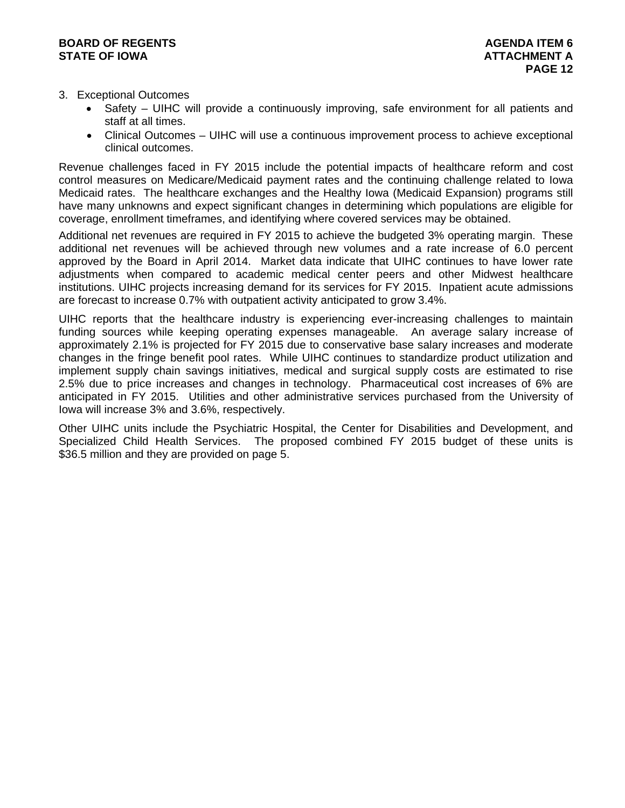# **BOARD OF REGENTS AGENERAL LIGHT CONSUMING A LIGHT CONSUMING A LIGHT CONSUMING A LIGHT CONSUMING A LIGHT CONSUMING A LIGHT CONSUMING A LIGHT CONSUMING A LIGHT CONSUMING A LIGHT CONSUMING A LIGHT CONSUMING A LIGHT CONSUMING STATE OF IOWA ATTACHMENT A**

- 3. Exceptional Outcomes
	- Safety UIHC will provide a continuously improving, safe environment for all patients and staff at all times.
	- Clinical Outcomes UIHC will use a continuous improvement process to achieve exceptional clinical outcomes.

Revenue challenges faced in FY 2015 include the potential impacts of healthcare reform and cost control measures on Medicare/Medicaid payment rates and the continuing challenge related to Iowa Medicaid rates. The healthcare exchanges and the Healthy Iowa (Medicaid Expansion) programs still have many unknowns and expect significant changes in determining which populations are eligible for coverage, enrollment timeframes, and identifying where covered services may be obtained.

Additional net revenues are required in FY 2015 to achieve the budgeted 3% operating margin. These additional net revenues will be achieved through new volumes and a rate increase of 6.0 percent approved by the Board in April 2014. Market data indicate that UIHC continues to have lower rate adjustments when compared to academic medical center peers and other Midwest healthcare institutions. UIHC projects increasing demand for its services for FY 2015. Inpatient acute admissions are forecast to increase 0.7% with outpatient activity anticipated to grow 3.4%.

UIHC reports that the healthcare industry is experiencing ever-increasing challenges to maintain funding sources while keeping operating expenses manageable. An average salary increase of approximately 2.1% is projected for FY 2015 due to conservative base salary increases and moderate changes in the fringe benefit pool rates. While UIHC continues to standardize product utilization and implement supply chain savings initiatives, medical and surgical supply costs are estimated to rise 2.5% due to price increases and changes in technology. Pharmaceutical cost increases of 6% are anticipated in FY 2015. Utilities and other administrative services purchased from the University of Iowa will increase 3% and 3.6%, respectively.

Other UIHC units include the Psychiatric Hospital, the Center for Disabilities and Development, and Specialized Child Health Services. The proposed combined FY 2015 budget of these units is \$36.5 million and they are provided on page 5.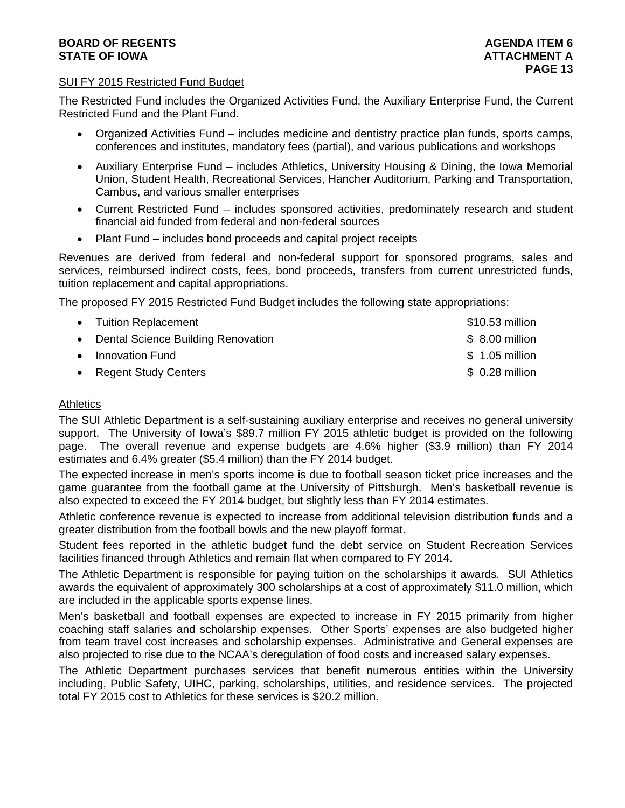# **BOARD OF REGENTS** AGENERATION OF REGENTS AGENERATION OF REGENTS AGENERATION OF REGENTS AGENERATION OF REGENTS AGENERATION OF REGENTS AGENERATION OF REGENTS AGENERATION OF REGENTS AGENERATION OF REGENTS AGENERATION OF REGE **STATE OF IOWA AND RESIDENT A LOCAL CONSUMING A LOCAL CONSUMING A LOCAL CONSUMING A LOCAL CONSUMING A LOCAL CONSUMING A LOCAL CONSUMING A LOCAL CONSUMING A LOCAL CONSUMING A LOCAL CONSUMING A LOCAL CONSUMING A LOCAL CONSUM**

# SUI FY 2015 Restricted Fund Budget

The Restricted Fund includes the Organized Activities Fund, the Auxiliary Enterprise Fund, the Current Restricted Fund and the Plant Fund.

- Organized Activities Fund includes medicine and dentistry practice plan funds, sports camps, conferences and institutes, mandatory fees (partial), and various publications and workshops
- Auxiliary Enterprise Fund includes Athletics, University Housing & Dining, the Iowa Memorial Union, Student Health, Recreational Services, Hancher Auditorium, Parking and Transportation, Cambus, and various smaller enterprises
- Current Restricted Fund includes sponsored activities, predominately research and student financial aid funded from federal and non-federal sources
- Plant Fund includes bond proceeds and capital project receipts

Revenues are derived from federal and non-federal support for sponsored programs, sales and services, reimbursed indirect costs, fees, bond proceeds, transfers from current unrestricted funds, tuition replacement and capital appropriations.

The proposed FY 2015 Restricted Fund Budget includes the following state appropriations:

| • Tuition Replacement                | \$10.53 million |
|--------------------------------------|-----------------|
| • Dental Science Building Renovation | \$ 8.00 million |
| • Innovation Fund                    | \$ 1.05 million |
| • Regent Study Centers               | \$ 0.28 million |

# **Athletics**

The SUI Athletic Department is a self-sustaining auxiliary enterprise and receives no general university support. The University of Iowa's \$89.7 million FY 2015 athletic budget is provided on the following page. The overall revenue and expense budgets are 4.6% higher (\$3.9 million) than FY 2014 estimates and 6.4% greater (\$5.4 million) than the FY 2014 budget.

The expected increase in men's sports income is due to football season ticket price increases and the game guarantee from the football game at the University of Pittsburgh. Men's basketball revenue is also expected to exceed the FY 2014 budget, but slightly less than FY 2014 estimates.

Athletic conference revenue is expected to increase from additional television distribution funds and a greater distribution from the football bowls and the new playoff format.

Student fees reported in the athletic budget fund the debt service on Student Recreation Services facilities financed through Athletics and remain flat when compared to FY 2014.

The Athletic Department is responsible for paying tuition on the scholarships it awards. SUI Athletics awards the equivalent of approximately 300 scholarships at a cost of approximately \$11.0 million, which are included in the applicable sports expense lines.

Men's basketball and football expenses are expected to increase in FY 2015 primarily from higher coaching staff salaries and scholarship expenses. Other Sports' expenses are also budgeted higher from team travel cost increases and scholarship expenses. Administrative and General expenses are also projected to rise due to the NCAA's deregulation of food costs and increased salary expenses.

The Athletic Department purchases services that benefit numerous entities within the University including, Public Safety, UIHC, parking, scholarships, utilities, and residence services. The projected total FY 2015 cost to Athletics for these services is \$20.2 million.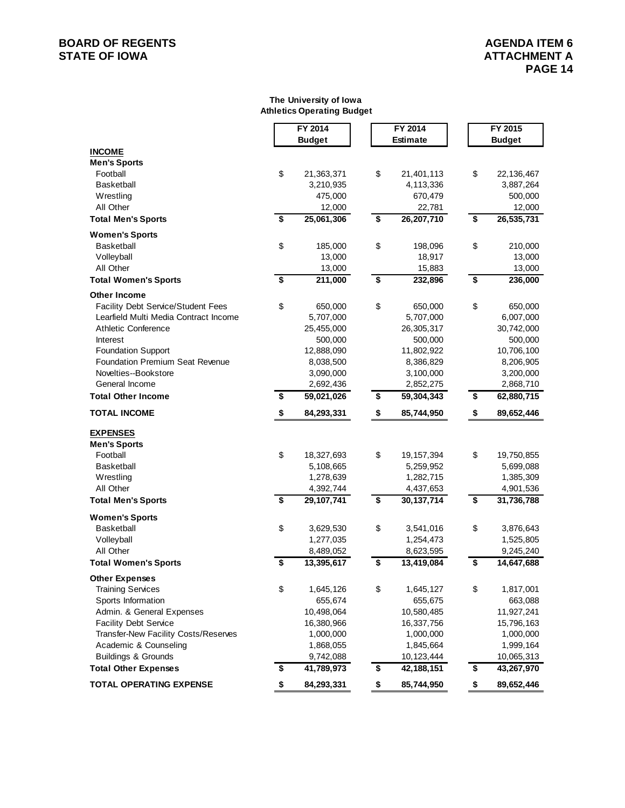# **BOARD OF REGENTS**<br> **BOARD OF REGENTS**<br> **STATE OF IOWA**<br> **ATTACHMENT A**

#### **The University of Iowa Athletics Operating Budget**

|                                           |                      | FY 2014                 |                      | FY 2014                 |                                        | FY 2015                 |
|-------------------------------------------|----------------------|-------------------------|----------------------|-------------------------|----------------------------------------|-------------------------|
|                                           |                      | <b>Budget</b>           |                      | <b>Estimate</b>         |                                        | <b>Budget</b>           |
| <b>INCOME</b>                             |                      |                         |                      |                         |                                        |                         |
| <b>Men's Sports</b>                       | \$                   |                         |                      |                         | \$                                     |                         |
| Football<br><b>Basketball</b>             |                      | 21,363,371<br>3,210,935 | \$                   | 21,401,113<br>4,113,336 |                                        | 22,136,467<br>3,887,264 |
| Wrestling                                 |                      | 475,000                 |                      | 670,479                 |                                        | 500,000                 |
| All Other                                 |                      | 12,000                  |                      | 22,781                  |                                        | 12,000                  |
| <b>Total Men's Sports</b>                 | \$                   | 25,061,306              | \$                   | 26,207,710              | \$                                     | 26,535,731              |
| <b>Women's Sports</b>                     |                      |                         |                      |                         |                                        |                         |
| <b>Basketball</b>                         | \$                   | 185,000                 | \$                   | 198,096                 | \$                                     | 210,000                 |
| Volleyball                                |                      | 13,000                  |                      | 18,917                  |                                        | 13,000                  |
| All Other                                 |                      | 13,000                  |                      | 15,883                  |                                        | 13,000                  |
| <b>Total Women's Sports</b>               | $\overline{\bullet}$ | 211,000                 | \$                   | 232,896                 | $\overline{\boldsymbol{\mathfrak{s}}}$ | 236,000                 |
| <b>Other Income</b>                       |                      |                         |                      |                         |                                        |                         |
| <b>Facility Debt Service/Student Fees</b> | \$                   | 650,000                 | \$                   | 650,000                 | \$                                     | 650,000                 |
| Learfield Multi Media Contract Income     |                      | 5,707,000               |                      | 5,707,000               |                                        | 6,007,000               |
| <b>Athletic Conference</b>                |                      | 25,455,000              |                      | 26,305,317              |                                        | 30,742,000              |
| Interest                                  |                      | 500,000                 |                      | 500,000                 |                                        | 500,000                 |
| <b>Foundation Support</b>                 |                      | 12,888,090              |                      | 11,802,922              |                                        | 10,706,100              |
| <b>Foundation Premium Seat Revenue</b>    |                      | 8,038,500               |                      | 8,386,829               |                                        | 8,206,905               |
| Novelties--Bookstore                      |                      | 3,090,000               |                      | 3,100,000               |                                        | 3,200,000               |
| General Income                            |                      | 2,692,436               |                      | 2,852,275               |                                        | 2,868,710               |
| <b>Total Other Income</b>                 | \$                   | 59,021,026              | \$                   | 59,304,343              | \$                                     | 62,880,715              |
| <b>TOTAL INCOME</b>                       | \$                   | 84,293,331              | \$                   | 85,744,950              | \$                                     | 89,652,446              |
| <b>EXPENSES</b>                           |                      |                         |                      |                         |                                        |                         |
| <b>Men's Sports</b>                       |                      |                         |                      |                         |                                        |                         |
| Football                                  | \$                   | 18,327,693              | \$                   | 19, 157, 394            | \$                                     | 19,750,855              |
| <b>Basketball</b>                         |                      | 5,108,665               |                      | 5,259,952               |                                        | 5,699,088               |
| Wrestling                                 |                      | 1,278,639               |                      | 1,282,715               |                                        | 1,385,309               |
| All Other                                 |                      | 4,392,744               |                      | 4,437,653               |                                        | 4,901,536               |
| <b>Total Men's Sports</b>                 | \$                   | 29,107,741              | \$                   | 30, 137, 714            | \$                                     | 31,736,788              |
| <b>Women's Sports</b>                     |                      |                         |                      |                         |                                        |                         |
| Basketball                                | \$                   | 3,629,530               | \$                   | 3,541,016               | \$                                     | 3,876,643               |
| Volleyball                                |                      | 1,277,035               |                      | 1,254,473               |                                        | 1,525,805               |
| All Other                                 |                      | 8,489,052               |                      | 8,623,595               |                                        | 9,245,240               |
| <b>Total Women's Sports</b>               | \$                   | 13,395,617              | \$                   | 13,419,084              | \$                                     | 14,647,688              |
| Other Expenses                            |                      |                         |                      |                         |                                        |                         |
| <b>Training Services</b>                  | \$                   | 1,645,126               | \$                   | 1,645,127               | \$                                     | 1,817,001               |
| Sports Information                        |                      | 655,674                 |                      | 655,675                 |                                        | 663,088                 |
| Admin. & General Expenses                 |                      | 10,498,064              |                      | 10,580,485              |                                        | 11,927,241              |
| <b>Facility Debt Service</b>              |                      | 16,380,966              |                      | 16,337,756              |                                        | 15,796,163              |
| Transfer-New Facility Costs/Reserves      |                      | 1,000,000               |                      | 1,000,000               |                                        | 1,000,000               |
| Academic & Counseling                     |                      | 1,868,055               |                      | 1,845,664               |                                        | 1,999,164               |
| <b>Buildings &amp; Grounds</b>            |                      | 9,742,088               |                      | 10,123,444              |                                        | 10,065,313              |
| <b>Total Other Expenses</b>               | \$                   | 41,789,973              | $\overline{\bullet}$ | 42,188,151              | $\overline{\boldsymbol{\epsilon}}$     | 43,267,970              |
| <b>TOTAL OPERATING EXPENSE</b>            | \$                   | 84,293,331              | \$                   | 85,744,950              | \$                                     | 89,652,446              |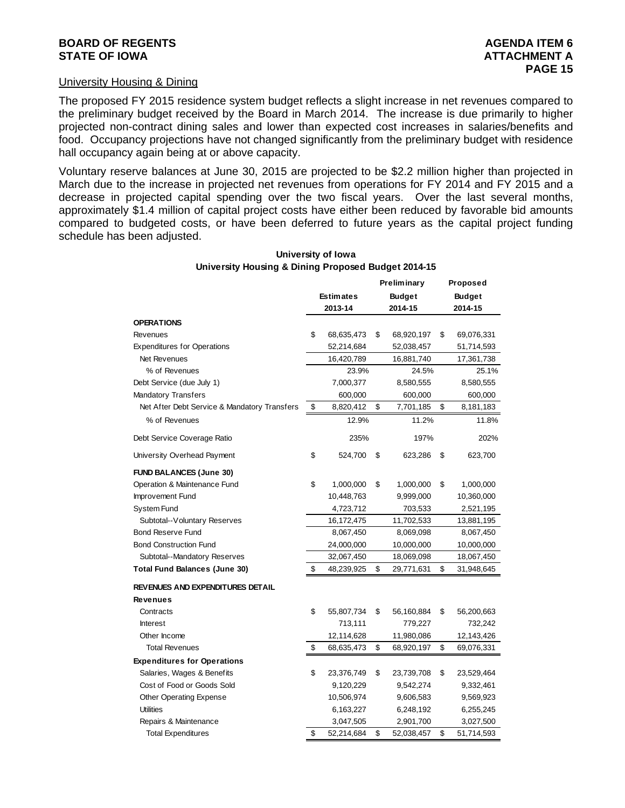### University Housing & Dining

The proposed FY 2015 residence system budget reflects a slight increase in net revenues compared to the preliminary budget received by the Board in March 2014. The increase is due primarily to higher projected non-contract dining sales and lower than expected cost increases in salaries/benefits and food. Occupancy projections have not changed significantly from the preliminary budget with residence hall occupancy again being at or above capacity.

Voluntary reserve balances at June 30, 2015 are projected to be \$2.2 million higher than projected in March due to the increase in projected net revenues from operations for FY 2014 and FY 2015 and a decrease in projected capital spending over the two fiscal years. Over the last several months, approximately \$1.4 million of capital project costs have either been reduced by favorable bid amounts compared to budgeted costs, or have been deferred to future years as the capital project funding schedule has been adjusted.

|                                              |    |                  |         | <b>Preliminary</b> |         | Proposed      |
|----------------------------------------------|----|------------------|---------|--------------------|---------|---------------|
|                                              |    | <b>Estimates</b> |         | <b>Budget</b>      |         | <b>Budget</b> |
|                                              |    | 2013-14          | 2014-15 |                    | 2014-15 |               |
| <b>OPERATIONS</b>                            |    |                  |         |                    |         |               |
| Revenues                                     | \$ | 68,635,473       | \$      | 68,920,197         | \$      | 69,076,331    |
| <b>Expenditures for Operations</b>           |    | 52,214,684       |         | 52,038,457         |         | 51,714,593    |
| Net Revenues                                 |    | 16,420,789       |         | 16,881,740         |         | 17,361,738    |
| % of Revenues                                |    | 23.9%            |         | 24.5%              |         | 25.1%         |
| Debt Service (due July 1)                    |    | 7,000,377        |         | 8,580,555          |         | 8,580,555     |
| <b>Mandatory Transfers</b>                   |    | 600,000          |         | 600,000            |         | 600,000       |
| Net After Debt Service & Mandatory Transfers | \$ | 8,820,412        | \$      | 7,701,185          | \$      | 8,181,183     |
| % of Revenues                                |    | 12.9%            |         | 11.2%              |         | 11.8%         |
| Debt Service Coverage Ratio                  |    | 235%             |         | 197%               |         | 202%          |
| University Overhead Payment                  | \$ | 524,700          | \$      | 623,286            | \$      | 623,700       |
| <b>FUND BALANCES (June 30)</b>               |    |                  |         |                    |         |               |
| Operation & Maintenance Fund                 | \$ | 1,000,000        | \$      | 1,000,000          | \$      | 1,000,000     |
| Improvement Fund                             |    | 10,448,763       |         | 9,999,000          |         | 10,360,000    |
| System Fund                                  |    | 4,723,712        |         | 703,533            |         | 2,521,195     |
| Subtotal--Voluntary Reserves                 |    | 16,172,475       |         | 11,702,533         |         | 13,881,195    |
| <b>Bond Reserve Fund</b>                     |    | 8,067,450        |         | 8,069,098          |         | 8,067,450     |
| <b>Bond Construction Fund</b>                |    | 24,000,000       |         | 10,000,000         |         | 10,000,000    |
| Subtotal--Mandatory Reserves                 |    | 32,067,450       |         | 18,069,098         |         | 18,067,450    |
| <b>Total Fund Balances (June 30)</b>         | \$ | 48,239,925       | \$      | 29,771,631         | \$      | 31,948,645    |
| <b>REVENUES AND EXPENDITURES DETAIL</b>      |    |                  |         |                    |         |               |
| <b>Revenues</b>                              |    |                  |         |                    |         |               |
| Contracts                                    | \$ | 55,807,734       | \$      | 56,160,884         | \$      | 56,200,663    |
| <b>Interest</b>                              |    | 713,111          |         | 779,227            |         | 732,242       |
| Other Income                                 |    | 12,114,628       |         | 11,980,086         |         | 12,143,426    |
| <b>Total Revenues</b>                        | \$ | 68,635,473       | \$      | 68,920,197         | \$      | 69,076,331    |
| <b>Expenditures for Operations</b>           |    |                  |         |                    |         |               |
| Salaries, Wages & Benefits                   | \$ | 23,376,749       | \$      | 23,739,708         | \$      | 23,529,464    |
| Cost of Food or Goods Sold                   |    | 9,120,229        |         | 9,542,274          |         | 9,332,461     |
| <b>Other Operating Expense</b>               |    | 10,506,974       |         | 9,606,583          |         | 9,569,923     |
| <b>Utilities</b>                             |    | 6,163,227        |         | 6,248,192          |         | 6,255,245     |
| Repairs & Maintenance                        |    | 3,047,505        |         | 2,901,700          |         | 3,027,500     |
| <b>Total Expenditures</b>                    | \$ | 52,214,684       | \$      | 52,038,457         | \$      | 51,714,593    |

#### **University of Iowa University Housing & Dining Proposed Budget 2014-15**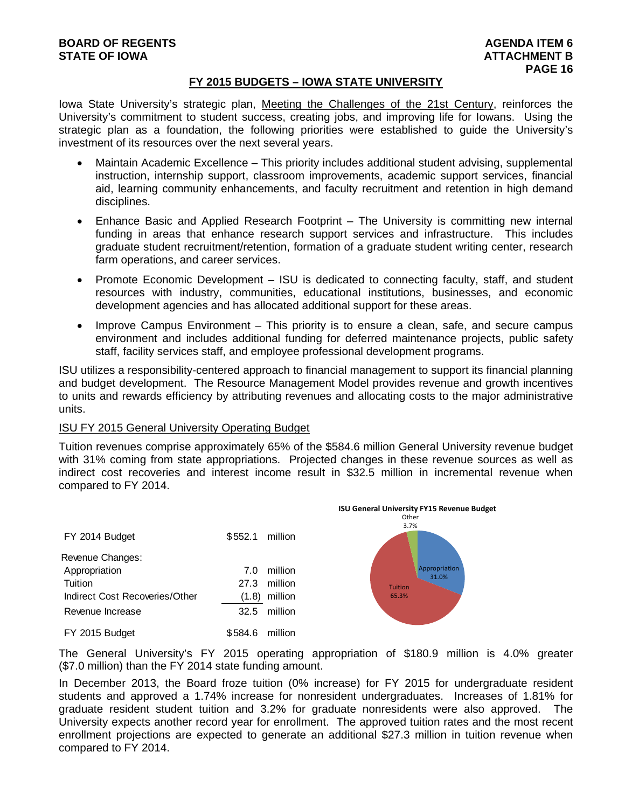# **FY 2015 BUDGETS – IOWA STATE UNIVERSITY**

Iowa State University's strategic plan, Meeting the Challenges of the 21st Century, reinforces the University's commitment to student success, creating jobs, and improving life for Iowans. Using the strategic plan as a foundation, the following priorities were established to guide the University's investment of its resources over the next several years.

- Maintain Academic Excellence This priority includes additional student advising, supplemental instruction, internship support, classroom improvements, academic support services, financial aid, learning community enhancements, and faculty recruitment and retention in high demand disciplines.
- Enhance Basic and Applied Research Footprint The University is committing new internal funding in areas that enhance research support services and infrastructure. This includes graduate student recruitment/retention, formation of a graduate student writing center, research farm operations, and career services.
- Promote Economic Development ISU is dedicated to connecting faculty, staff, and student resources with industry, communities, educational institutions, businesses, and economic development agencies and has allocated additional support for these areas.
- Improve Campus Environment This priority is to ensure a clean, safe, and secure campus environment and includes additional funding for deferred maintenance projects, public safety staff, facility services staff, and employee professional development programs.

ISU utilizes a responsibility-centered approach to financial management to support its financial planning and budget development. The Resource Management Model provides revenue and growth incentives to units and rewards efficiency by attributing revenues and allocating costs to the major administrative units.

# ISU FY 2015 General University Operating Budget

Tuition revenues comprise approximately 65% of the \$584.6 million General University revenue budget with 31% coming from state appropriations. Projected changes in these revenue sources as well as indirect cost recoveries and interest income result in \$32.5 million in incremental revenue when compared to FY 2014.



The General University's FY 2015 operating appropriation of \$180.9 million is 4.0% greater (\$7.0 million) than the FY 2014 state funding amount.

In December 2013, the Board froze tuition (0% increase) for FY 2015 for undergraduate resident students and approved a 1.74% increase for nonresident undergraduates. Increases of 1.81% for graduate resident student tuition and 3.2% for graduate nonresidents were also approved. The University expects another record year for enrollment. The approved tuition rates and the most recent enrollment projections are expected to generate an additional \$27.3 million in tuition revenue when compared to FY 2014.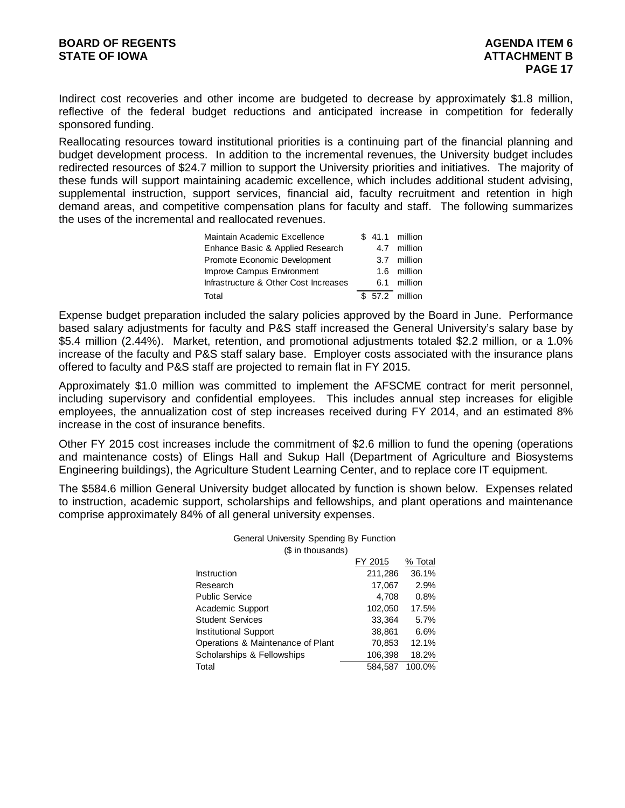Indirect cost recoveries and other income are budgeted to decrease by approximately \$1.8 million, reflective of the federal budget reductions and anticipated increase in competition for federally sponsored funding.

Reallocating resources toward institutional priorities is a continuing part of the financial planning and budget development process. In addition to the incremental revenues, the University budget includes redirected resources of \$24.7 million to support the University priorities and initiatives. The majority of these funds will support maintaining academic excellence, which includes additional student advising, supplemental instruction, support services, financial aid, faculty recruitment and retention in high demand areas, and competitive compensation plans for faculty and staff. The following summarizes the uses of the incremental and reallocated revenues.

| Maintain Academic Excellence          |  | \$ 41.1 million |
|---------------------------------------|--|-----------------|
| Enhance Basic & Applied Research      |  | 4.7 million     |
| Promote Economic Development          |  | 3.7 million     |
| Improve Campus Environment            |  | 1.6 million     |
| Infrastructure & Other Cost Increases |  | 6.1 million     |
| Total                                 |  | \$ 57.2 million |

Expense budget preparation included the salary policies approved by the Board in June. Performance based salary adjustments for faculty and P&S staff increased the General University's salary base by \$5.4 million (2.44%). Market, retention, and promotional adjustments totaled \$2.2 million, or a 1.0% increase of the faculty and P&S staff salary base. Employer costs associated with the insurance plans offered to faculty and P&S staff are projected to remain flat in FY 2015.

Approximately \$1.0 million was committed to implement the AFSCME contract for merit personnel, including supervisory and confidential employees. This includes annual step increases for eligible employees, the annualization cost of step increases received during FY 2014, and an estimated 8% increase in the cost of insurance benefits.

Other FY 2015 cost increases include the commitment of \$2.6 million to fund the opening (operations and maintenance costs) of Elings Hall and Sukup Hall (Department of Agriculture and Biosystems Engineering buildings), the Agriculture Student Learning Center, and to replace core IT equipment.

The \$584.6 million General University budget allocated by function is shown below. Expenses related to instruction, academic support, scholarships and fellowships, and plant operations and maintenance comprise approximately 84% of all general university expenses.

General University Spending By Function

| (\$ in thousands)                 |         |         |
|-----------------------------------|---------|---------|
|                                   | FY 2015 | % Total |
| <b>Instruction</b>                | 211,286 | 36.1%   |
| Research                          | 17,067  | 2.9%    |
| <b>Public Service</b>             | 4,708   | 0.8%    |
| Academic Support                  | 102,050 | 17.5%   |
| <b>Student Services</b>           | 33.364  | 5.7%    |
| <b>Institutional Support</b>      | 38,861  | 6.6%    |
| Operations & Maintenance of Plant | 70.853  | 12.1%   |
| Scholarships & Fellowships        | 106,398 | 18.2%   |
| Total                             | 584.587 | 100.0%  |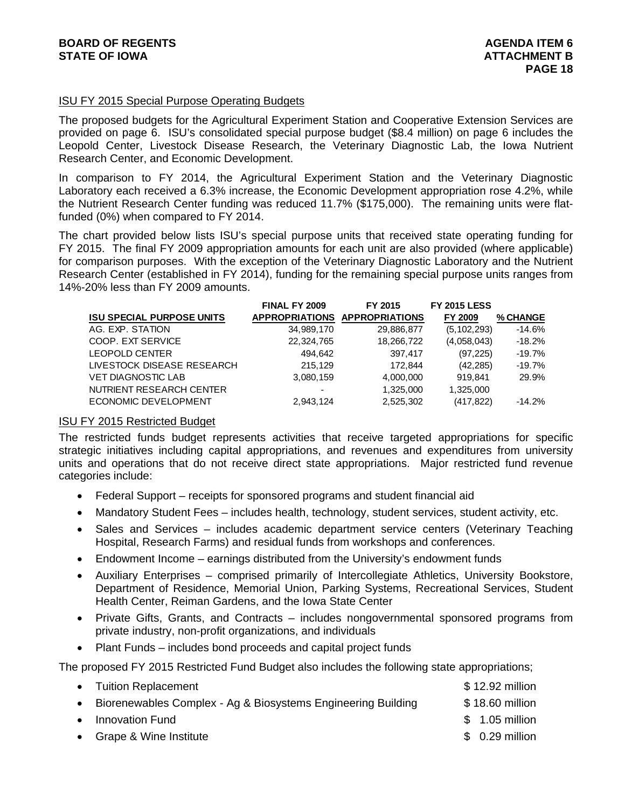# ISU FY 2015 Special Purpose Operating Budgets

The proposed budgets for the Agricultural Experiment Station and Cooperative Extension Services are provided on page 6. ISU's consolidated special purpose budget (\$8.4 million) on page 6 includes the Leopold Center, Livestock Disease Research, the Veterinary Diagnostic Lab, the Iowa Nutrient Research Center, and Economic Development.

In comparison to FY 2014, the Agricultural Experiment Station and the Veterinary Diagnostic Laboratory each received a 6.3% increase, the Economic Development appropriation rose 4.2%, while the Nutrient Research Center funding was reduced 11.7% (\$175,000). The remaining units were flatfunded (0%) when compared to FY 2014.

The chart provided below lists ISU's special purpose units that received state operating funding for FY 2015. The final FY 2009 appropriation amounts for each unit are also provided (where applicable) for comparison purposes. With the exception of the Veterinary Diagnostic Laboratory and the Nutrient Research Center (established in FY 2014), funding for the remaining special purpose units ranges from 14%-20% less than FY 2009 amounts.

| <b>FINAL FY 2009</b> | FY 2015    | <b>FY 2015 LESS</b>           |          |
|----------------------|------------|-------------------------------|----------|
|                      |            | FY 2009                       | % CHANGE |
| 34,989,170           | 29,886,877 | (5, 102, 293)                 | $-14.6%$ |
| 22,324,765           | 18,266,722 | (4,058,043)                   | $-18.2%$ |
| 494.642              | 397,417    | (97, 225)                     | $-19.7%$ |
| 215.129              | 172.844    | (42, 285)                     | $-19.7%$ |
| 3,080,159            | 4,000,000  | 919.841                       | 29.9%    |
| -                    | 1,325,000  | 1,325,000                     |          |
| 2,943,124            | 2,525,302  | (417, 822)                    | $-14.2%$ |
|                      |            | APPROPRIATIONS APPROPRIATIONS |          |

# ISU FY 2015 Restricted Budget

The restricted funds budget represents activities that receive targeted appropriations for specific strategic initiatives including capital appropriations, and revenues and expenditures from university units and operations that do not receive direct state appropriations. Major restricted fund revenue categories include:

- Federal Support receipts for sponsored programs and student financial aid
- Mandatory Student Fees includes health, technology, student services, student activity, etc.
- Sales and Services includes academic department service centers (Veterinary Teaching Hospital, Research Farms) and residual funds from workshops and conferences.
- Endowment Income earnings distributed from the University's endowment funds
- Auxiliary Enterprises comprised primarily of Intercollegiate Athletics, University Bookstore, Department of Residence, Memorial Union, Parking Systems, Recreational Services, Student Health Center, Reiman Gardens, and the Iowa State Center
- Private Gifts, Grants, and Contracts includes nongovernmental sponsored programs from private industry, non-profit organizations, and individuals
- Plant Funds includes bond proceeds and capital project funds

The proposed FY 2015 Restricted Fund Budget also includes the following state appropriations;

| \$18.60 million |
|-----------------|
| $$1.05$ million |
| $$0.29$ million |
|                 |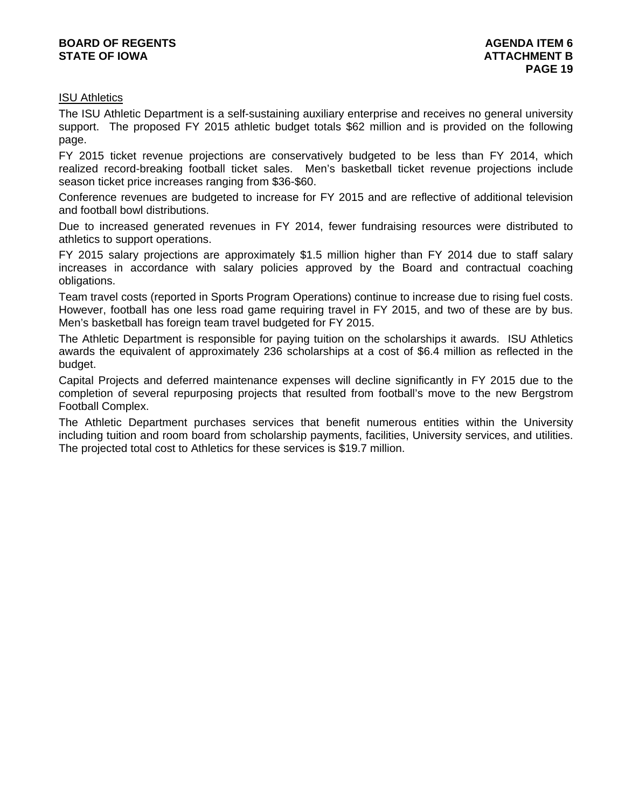# ISU Athletics

The ISU Athletic Department is a self-sustaining auxiliary enterprise and receives no general university support. The proposed FY 2015 athletic budget totals \$62 million and is provided on the following page.

FY 2015 ticket revenue projections are conservatively budgeted to be less than FY 2014, which realized record-breaking football ticket sales. Men's basketball ticket revenue projections include season ticket price increases ranging from \$36-\$60.

Conference revenues are budgeted to increase for FY 2015 and are reflective of additional television and football bowl distributions.

Due to increased generated revenues in FY 2014, fewer fundraising resources were distributed to athletics to support operations.

FY 2015 salary projections are approximately \$1.5 million higher than FY 2014 due to staff salary increases in accordance with salary policies approved by the Board and contractual coaching obligations.

Team travel costs (reported in Sports Program Operations) continue to increase due to rising fuel costs. However, football has one less road game requiring travel in FY 2015, and two of these are by bus. Men's basketball has foreign team travel budgeted for FY 2015.

The Athletic Department is responsible for paying tuition on the scholarships it awards. ISU Athletics awards the equivalent of approximately 236 scholarships at a cost of \$6.4 million as reflected in the budget.

Capital Projects and deferred maintenance expenses will decline significantly in FY 2015 due to the completion of several repurposing projects that resulted from football's move to the new Bergstrom Football Complex.

The Athletic Department purchases services that benefit numerous entities within the University including tuition and room board from scholarship payments, facilities, University services, and utilities. The projected total cost to Athletics for these services is \$19.7 million.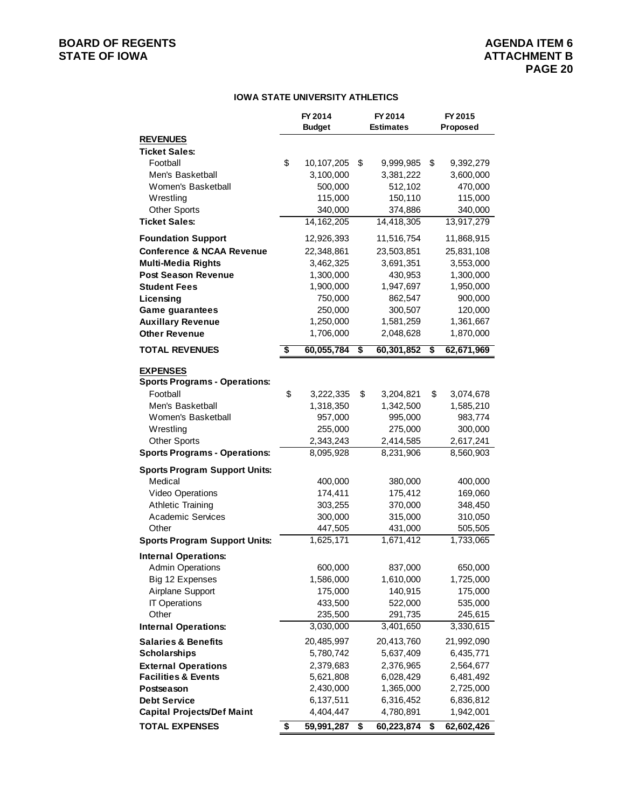# **IOWA STATE UNIVERSITY ATHLETICS**

|                                                            | FY 2014<br><b>Budget</b>      | FY 2014<br><b>Estimates</b> |                        | FY 2015<br>Proposed |                         |
|------------------------------------------------------------|-------------------------------|-----------------------------|------------------------|---------------------|-------------------------|
| <b>REVENUES</b>                                            |                               |                             |                        |                     |                         |
| <b>Ticket Sales:</b>                                       |                               |                             |                        |                     |                         |
| Football                                                   | \$<br>10,107,205              | \$                          | 9,999,985              | \$                  | 9,392,279               |
| Men's Basketball                                           | 3,100,000                     |                             | 3,381,222              |                     | 3,600,000               |
| Women's Basketball                                         | 500,000                       |                             | 512,102                |                     | 470,000                 |
| Wrestling                                                  | 115,000                       |                             | 150,110                |                     | 115,000                 |
| <b>Other Sports</b>                                        | 340,000                       |                             | 374,886                |                     | 340,000                 |
| <b>Ticket Sales:</b>                                       | 14, 162, 205                  |                             | 14,418,305             |                     | 13,917,279              |
| <b>Foundation Support</b>                                  | 12,926,393                    |                             | 11,516,754             |                     | 11,868,915              |
| <b>Conference &amp; NCAA Revenue</b>                       | 22,348,861                    |                             | 23,503,851             |                     | 25,831,108              |
| <b>Multi-Media Rights</b>                                  | 3,462,325                     |                             | 3,691,351              |                     | 3,553,000               |
| <b>Post Season Revenue</b>                                 | 1,300,000                     |                             | 430,953                |                     | 1,300,000               |
| <b>Student Fees</b>                                        | 1,900,000                     |                             | 1,947,697              |                     | 1,950,000               |
| Licensing                                                  | 750,000                       |                             | 862,547                |                     | 900,000                 |
| <b>Game guarantees</b>                                     | 250,000                       |                             | 300,507                |                     | 120,000                 |
| <b>Auxillary Revenue</b>                                   | 1,250,000                     |                             | 1,581,259              |                     | 1,361,667               |
| <b>Other Revenue</b>                                       | 1,706,000                     |                             | 2,048,628              |                     | 1,870,000               |
| <b>TOTAL REVENUES</b>                                      | \$<br>60,055,784              | \$                          | 60,301,852             | \$                  | 62,671,969              |
| <b>EXPENSES</b>                                            |                               |                             |                        |                     |                         |
| <b>Sports Programs - Operations:</b>                       |                               |                             |                        |                     |                         |
| Football                                                   | \$<br>3,222,335               | \$                          | 3,204,821              | \$                  | 3,074,678               |
| Men's Basketball                                           | 1,318,350                     |                             | 1,342,500              |                     | 1,585,210               |
| Women's Basketball                                         | 957,000                       |                             | 995,000                |                     | 983,774                 |
| Wrestling                                                  | 255,000                       |                             | 275,000                |                     | 300,000                 |
| <b>Other Sports</b>                                        | 2,343,243                     |                             | 2,414,585              |                     | 2,617,241               |
| <b>Sports Programs - Operations:</b>                       | 8,095,928                     |                             | 8,231,906              |                     | 8,560,903               |
| <b>Sports Program Support Units:</b>                       |                               |                             |                        |                     |                         |
| Medical                                                    | 400,000                       |                             | 380,000                |                     | 400,000                 |
| Video Operations                                           | 174,411                       |                             | 175,412                |                     | 169,060                 |
| <b>Athletic Training</b>                                   | 303,255                       |                             | 370,000                |                     | 348,450                 |
| <b>Academic Services</b>                                   | 300,000                       |                             | 315,000                |                     | 310,050                 |
| Other                                                      | 447,505                       |                             | 431,000                |                     | 505,505                 |
| <b>Sports Program Support Units:</b>                       | 1,625,171                     |                             | 1,671,412              |                     | 1,733,065               |
| <b>Internal Operations:</b>                                |                               |                             |                        |                     |                         |
| <b>Admin Operations</b>                                    | 600,000                       |                             | 837,000                |                     | 650,000                 |
| Big 12 Expenses                                            | 1,586,000                     |                             | 1,610,000              |                     | 1,725,000               |
| Airplane Support                                           | 175,000                       |                             | 140,915                |                     | 175,000                 |
| <b>IT Operations</b>                                       | 433,500                       |                             | 522,000                |                     | 535,000                 |
| Other                                                      | 235,500                       |                             | 291,735                |                     | 245,615                 |
| <b>Internal Operations:</b>                                | 3,030,000                     |                             | 3,401,650              |                     | 3,330,615               |
| <b>Salaries &amp; Benefits</b>                             | 20,485,997                    |                             | 20,413,760             |                     | 21,992,090              |
| <b>Scholarships</b>                                        | 5,780,742                     |                             | 5,637,409              |                     | 6,435,771               |
| <b>External Operations</b>                                 | 2,379,683                     |                             | 2,376,965              |                     | 2,564,677               |
| <b>Facilities &amp; Events</b>                             | 5,621,808                     |                             | 6,028,429              |                     | 6,481,492               |
| Postseason<br><b>Debt Service</b>                          | 2,430,000                     |                             | 1,365,000              |                     | 2,725,000               |
|                                                            | 6,137,511                     |                             | 6,316,452<br>4,780,891 |                     | 6,836,812               |
| <b>Capital Projects/Def Maint</b><br><b>TOTAL EXPENSES</b> | \$<br>4,404,447<br>59,991,287 | \$                          | 60,223,874             | \$                  | 1,942,001<br>62,602,426 |
|                                                            |                               |                             |                        |                     |                         |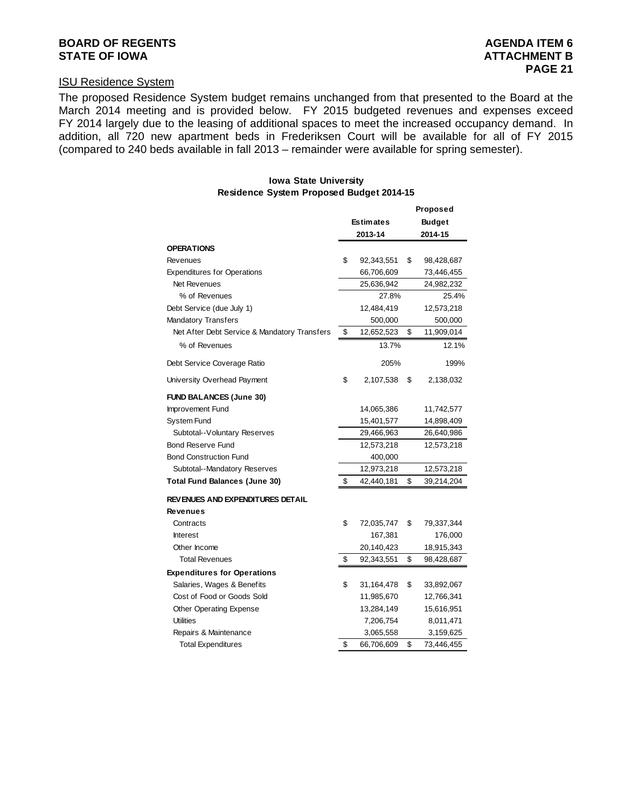# **BOARD OF REGENTS AGENUS AGENERATION CONSUMING AGENERATION CONSUMING AGENERATION CONSUMING AGENERATION**

# ISU Residence System

The proposed Residence System budget remains unchanged from that presented to the Board at the March 2014 meeting and is provided below. FY 2015 budgeted revenues and expenses exceed FY 2014 largely due to the leasing of additional spaces to meet the increased occupancy demand. In addition, all 720 new apartment beds in Frederiksen Court will be available for all of FY 2015 (compared to 240 beds available in fall 2013 – remainder were available for spring semester).

#### **Iowa State University Residence System Proposed Budget 2014-15**

|                                              |                  | Proposed         |
|----------------------------------------------|------------------|------------------|
|                                              | <b>Estimates</b> | <b>Budget</b>    |
|                                              | 2013-14          | 2014-15          |
| <b>OPERATIONS</b>                            |                  |                  |
| Revenues                                     | \$<br>92,343,551 | \$<br>98,428,687 |
| <b>Expenditures for Operations</b>           | 66,706,609       | 73,446,455       |
| Net Revenues                                 | 25,636,942       | 24,982,232       |
| % of Revenues                                | 27.8%            | 25.4%            |
| Debt Service (due July 1)                    | 12,484,419       | 12,573,218       |
| <b>Mandatory Transfers</b>                   | 500,000          | 500,000          |
| Net After Debt Service & Mandatory Transfers | \$<br>12,652,523 | \$<br>11,909,014 |
| % of Revenues                                | 13.7%            | 12.1%            |
| Debt Service Coverage Ratio                  | 205%             | 199%             |
| University Overhead Payment                  | \$<br>2,107,538  | \$<br>2,138,032  |
| <b>FUND BALANCES (June 30)</b>               |                  |                  |
| Improvement Fund                             | 14,065,386       | 11,742,577       |
| <b>System Fund</b>                           | 15,401,577       | 14,898,409       |
| Subtotal--Voluntary Reserves                 | 29,466,963       | 26,640,986       |
| <b>Bond Reserve Fund</b>                     | 12,573,218       | 12,573,218       |
| <b>Bond Construction Fund</b>                | 400,000          |                  |
| Subtotal--Mandatory Reserves                 | 12,973,218       | 12,573,218       |
| <b>Total Fund Balances (June 30)</b>         | \$<br>42,440,181 | \$<br>39,214,204 |
| REVENUES AND EXPENDITURES DETAIL             |                  |                  |
| <b>Revenues</b>                              |                  |                  |
| Contracts                                    | \$<br>72,035,747 | \$<br>79,337,344 |
| <b>Interest</b>                              | 167,381          | 176,000          |
| Other Income                                 | 20,140,423       | 18,915,343       |
| <b>Total Revenues</b>                        | \$<br>92,343,551 | \$<br>98,428,687 |
| <b>Expenditures for Operations</b>           |                  |                  |
| Salaries, Wages & Benefits                   | \$<br>31,164,478 | \$<br>33,892,067 |
| Cost of Food or Goods Sold                   | 11,985,670       | 12,766,341       |
| Other Operating Expense                      | 13,284,149       | 15,616,951       |
| <b>Utilities</b>                             | 7,206,754        | 8,011,471        |
| Repairs & Maintenance                        | 3,065,558        | 3,159,625        |
| <b>Total Expenditures</b>                    | \$<br>66,706,609 | \$<br>73,446,455 |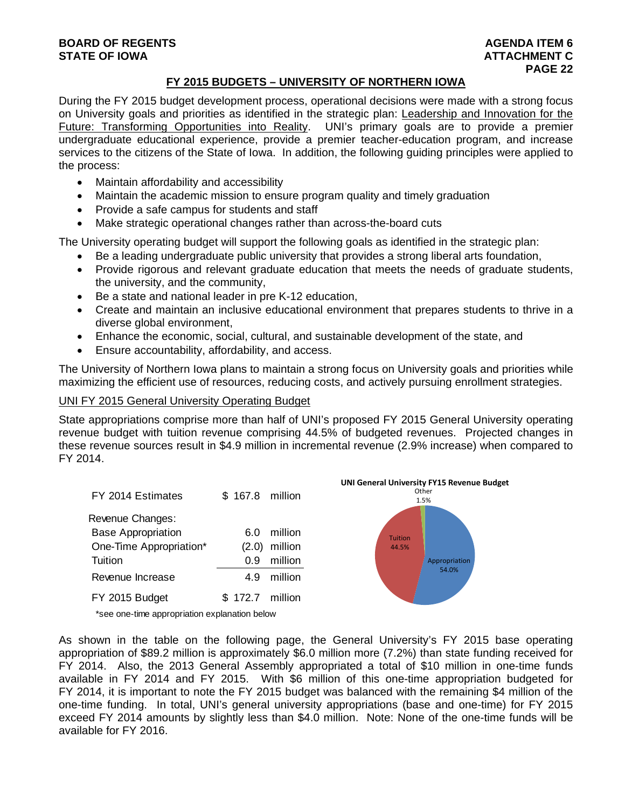# **BOARD OF REGENTS AGENTS** AGENERATION OF REGENTS **STATE OF IOWA ATTACHMENT C**  $\blacksquare$

# **FY 2015 BUDGETS – UNIVERSITY OF NORTHERN IOWA**

During the FY 2015 budget development process, operational decisions were made with a strong focus on University goals and priorities as identified in the strategic plan: Leadership and Innovation for the Future: Transforming Opportunities into Reality. UNI's primary goals are to provide a premier undergraduate educational experience, provide a premier teacher-education program, and increase services to the citizens of the State of Iowa. In addition, the following guiding principles were applied to the process:

- Maintain affordability and accessibility
- Maintain the academic mission to ensure program quality and timely graduation
- Provide a safe campus for students and staff
- Make strategic operational changes rather than across-the-board cuts

The University operating budget will support the following goals as identified in the strategic plan:

- Be a leading undergraduate public university that provides a strong liberal arts foundation,
- Provide rigorous and relevant graduate education that meets the needs of graduate students, the university, and the community,
- Be a state and national leader in pre K-12 education,
- Create and maintain an inclusive educational environment that prepares students to thrive in a diverse global environment,
- Enhance the economic, social, cultural, and sustainable development of the state, and
- Ensure accountability, affordability, and access.

The University of Northern Iowa plans to maintain a strong focus on University goals and priorities while maximizing the efficient use of resources, reducing costs, and actively pursuing enrollment strategies.

# UNI FY 2015 General University Operating Budget

State appropriations comprise more than half of UNI's proposed FY 2015 General University operating revenue budget with tuition revenue comprising 44.5% of budgeted revenues. Projected changes in these revenue sources result in \$4.9 million in incremental revenue (2.9% increase) when compared to FY 2014.





\*see one-time appropriation explanation below

As shown in the table on the following page, the General University's FY 2015 base operating appropriation of \$89.2 million is approximately \$6.0 million more (7.2%) than state funding received for FY 2014. Also, the 2013 General Assembly appropriated a total of \$10 million in one-time funds available in FY 2014 and FY 2015. With \$6 million of this one-time appropriation budgeted for FY 2014, it is important to note the FY 2015 budget was balanced with the remaining \$4 million of the one-time funding. In total, UNI's general university appropriations (base and one-time) for FY 2015 exceed FY 2014 amounts by slightly less than \$4.0 million. Note: None of the one-time funds will be available for FY 2016.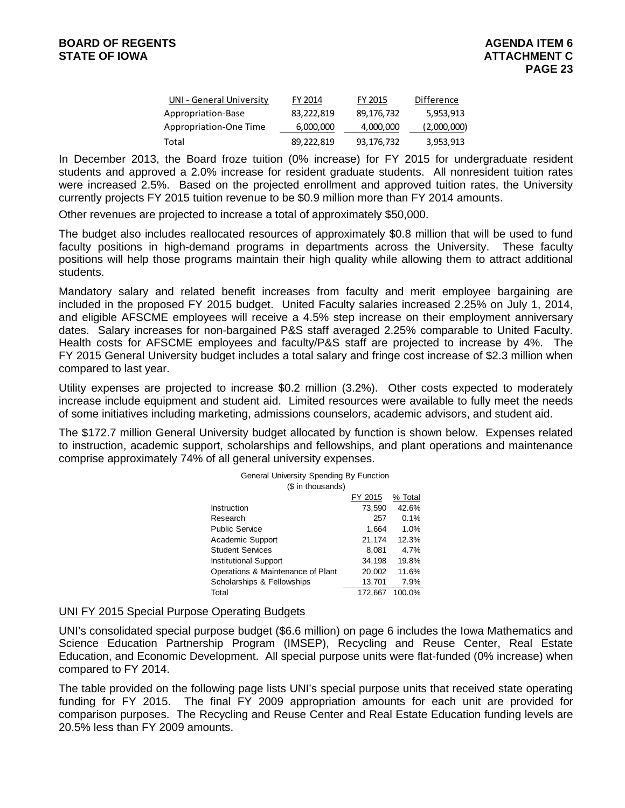| UNI - General University | FY 2014    | FY 2015    | Difference  |
|--------------------------|------------|------------|-------------|
| Appropriation-Base       | 83,222,819 | 89,176,732 | 5,953,913   |
| Appropriation-One Time   | 6,000,000  | 4,000,000  | (2,000,000) |
| Total                    | 89,222,819 | 93,176,732 | 3,953,913   |

In December 2013, the Board froze tuition (0% increase) for FY 2015 for undergraduate resident students and approved a 2.0% increase for resident graduate students. All nonresident tuition rates were increased 2.5%. Based on the projected enrollment and approved tuition rates, the University currently projects FY 2015 tuition revenue to be \$0.9 million more than FY 2014 amounts.

Other revenues are projected to increase a total of approximately \$50,000.

The budget also includes reallocated resources of approximately \$0.8 million that will be used to fund faculty positions in high-demand programs in departments across the University. These faculty positions will help those programs maintain their high quality while allowing them to attract additional students.

Mandatory salary and related benefit increases from faculty and merit employee bargaining are included in the proposed FY 2015 budget. United Faculty salaries increased 2.25% on July 1, 2014, and eligible AFSCME employees will receive a 4.5% step increase on their employment anniversary dates. Salary increases for non-bargained P&S staff averaged 2.25% comparable to United Faculty. Health costs for AFSCME employees and faculty/P&S staff are projected to increase by 4%. The FY 2015 General University budget includes a total salary and fringe cost increase of \$2.3 million when compared to last year.

Utility expenses are projected to increase \$0.2 million (3.2%). Other costs expected to moderately increase include equipment and student aid. Limited resources were available to fully meet the needs of some initiatives including marketing, admissions counselors, academic advisors, and student aid.

The \$172.7 million General University budget allocated by function is shown below. Expenses related to instruction, academic support, scholarships and fellowships, and plant operations and maintenance comprise approximately 74% of all general university expenses.

| General University Spending By Function |         |         |  |  |
|-----------------------------------------|---------|---------|--|--|
| (\$ in thousands)                       |         |         |  |  |
|                                         | FY 2015 | % Total |  |  |
| Instruction                             | 73,590  | 42.6%   |  |  |
| Research                                | 257     | 0.1%    |  |  |
| <b>Public Service</b>                   | 1,664   | 1.0%    |  |  |
| Academic Support                        | 21,174  | 12.3%   |  |  |
| <b>Student Services</b>                 | 8,081   | 4.7%    |  |  |
| Institutional Support                   | 34,198  | 19.8%   |  |  |
| Operations & Maintenance of Plant       | 20,002  | 11.6%   |  |  |
| Scholarships & Fellowships              | 13,701  | 7.9%    |  |  |
| Total                                   | 172.667 | 100.0%  |  |  |

# UNI FY 2015 Special Purpose Operating Budgets

UNI's consolidated special purpose budget (\$6.6 million) on page 6 includes the Iowa Mathematics and Science Education Partnership Program (IMSEP), Recycling and Reuse Center, Real Estate Education, and Economic Development. All special purpose units were flat-funded (0% increase) when compared to FY 2014.

The table provided on the following page lists UNI's special purpose units that received state operating funding for FY 2015. The final FY 2009 appropriation amounts for each unit are provided for comparison purposes. The Recycling and Reuse Center and Real Estate Education funding levels are 20.5% less than FY 2009 amounts.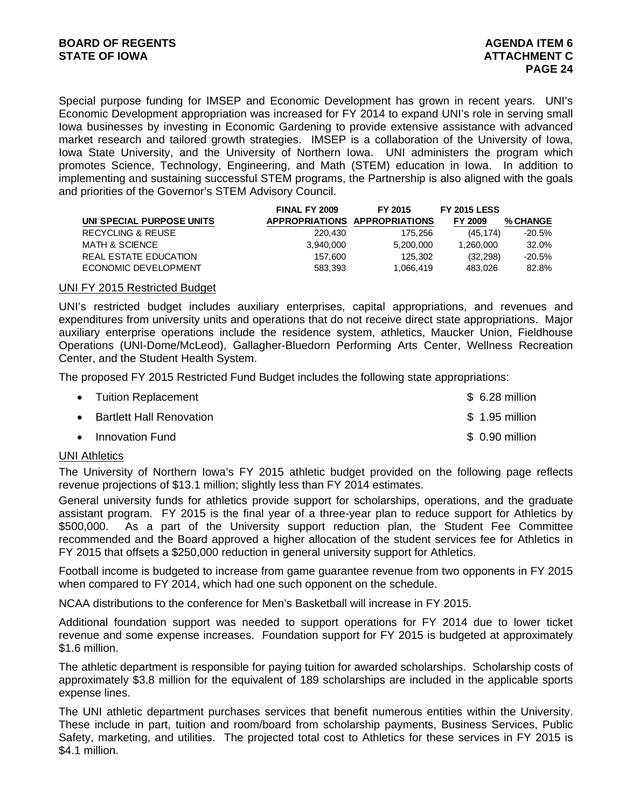Special purpose funding for IMSEP and Economic Development has grown in recent years. UNI's Economic Development appropriation was increased for FY 2014 to expand UNI's role in serving small Iowa businesses by investing in Economic Gardening to provide extensive assistance with advanced market research and tailored growth strategies. IMSEP is a collaboration of the University of Iowa, Iowa State University, and the University of Northern Iowa. UNI administers the program which promotes Science, Technology, Engineering, and Math (STEM) education in Iowa. In addition to implementing and sustaining successful STEM programs, the Partnership is also aligned with the goals and priorities of the Governor's STEM Advisory Council.

|                           | FINAL FY 2009 | FY 2015                       | <b>FY 2015 LESS</b> |                 |
|---------------------------|---------------|-------------------------------|---------------------|-----------------|
| UNI SPECIAL PURPOSE UNITS |               | APPROPRIATIONS APPROPRIATIONS | FY 2009             | <b>% CHANGE</b> |
| RECYCLING & REUSE         | 220,430       | 175.256                       | (45.174)            | $-20.5%$        |
| MATH & SCIENCE            | 3.940.000     | 5,200,000                     | 1.260.000           | 32.0%           |
| REAL ESTATE EDUCATION     | 157.600       | 125,302                       | (32, 298)           | $-20.5%$        |
| ECONOMIC DEVELOPMENT      | 583.393       | 1,066,419                     | 483.026             | 82.8%           |

#### UNI FY 2015 Restricted Budget

UNI's restricted budget includes auxiliary enterprises, capital appropriations, and revenues and expenditures from university units and operations that do not receive direct state appropriations. Major auxiliary enterprise operations include the residence system, athletics, Maucker Union, Fieldhouse Operations (UNI-Dome/McLeod), Gallagher-Bluedorn Performing Arts Center, Wellness Recreation Center, and the Student Health System.

The proposed FY 2015 Restricted Fund Budget includes the following state appropriations:

| • Tuition Replacement      | $$6.28$ million |
|----------------------------|-----------------|
| • Bartlett Hall Renovation | \$ 1.95 million |
| • Innovation Fund          | $$0.90$ million |

# UNI Athletics

The University of Northern Iowa's FY 2015 athletic budget provided on the following page reflects revenue projections of \$13.1 million; slightly less than FY 2014 estimates.

General university funds for athletics provide support for scholarships, operations, and the graduate assistant program. FY 2015 is the final year of a three-year plan to reduce support for Athletics by \$500,000. As a part of the University support reduction plan, the Student Fee Committee recommended and the Board approved a higher allocation of the student services fee for Athletics in FY 2015 that offsets a \$250,000 reduction in general university support for Athletics.

Football income is budgeted to increase from game guarantee revenue from two opponents in FY 2015 when compared to FY 2014, which had one such opponent on the schedule.

NCAA distributions to the conference for Men's Basketball will increase in FY 2015.

Additional foundation support was needed to support operations for FY 2014 due to lower ticket revenue and some expense increases. Foundation support for FY 2015 is budgeted at approximately \$1.6 million.

The athletic department is responsible for paying tuition for awarded scholarships. Scholarship costs of approximately \$3.8 million for the equivalent of 189 scholarships are included in the applicable sports expense lines.

The UNI athletic department purchases services that benefit numerous entities within the University. These include in part, tuition and room/board from scholarship payments, Business Services, Public Safety, marketing, and utilities. The projected total cost to Athletics for these services in FY 2015 is \$4.1 million.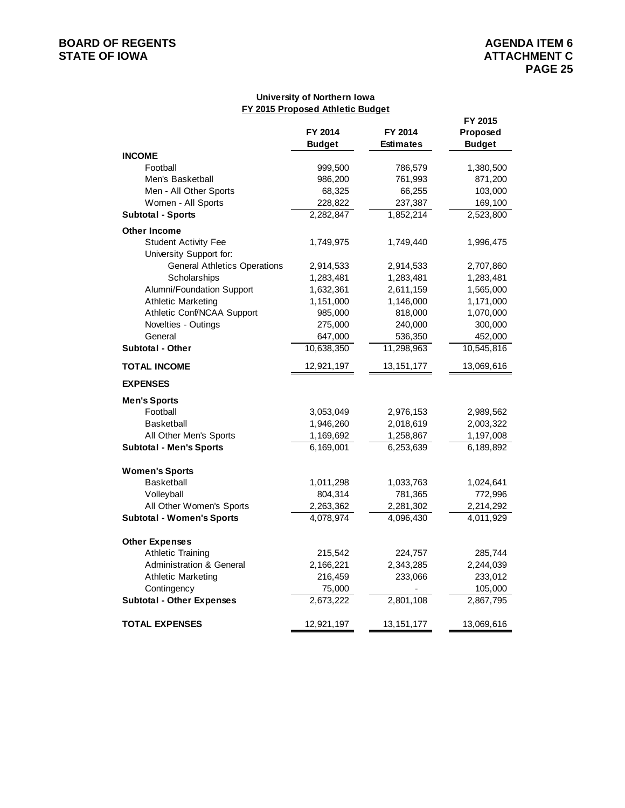# **BOARD OF REGENTS**<br> **BOARD OF REGENTS**<br> **STATE OF IOWA**<br> **ATTACHMENT C**

# **University of Northern Iowa FY 2015 Proposed Athletic Budget**

|                                     | FY 2015                  |                             |                           |
|-------------------------------------|--------------------------|-----------------------------|---------------------------|
|                                     | FY 2014<br><b>Budget</b> | FY 2014<br><b>Estimates</b> | Proposed<br><b>Budget</b> |
| <b>INCOME</b>                       |                          |                             |                           |
| Football                            | 999,500                  | 786,579                     | 1,380,500                 |
| Men's Basketball                    | 986,200                  | 761,993                     | 871,200                   |
| Men - All Other Sports              | 68,325                   | 66,255                      | 103,000                   |
| Women - All Sports                  | 228,822                  | 237,387                     | 169,100                   |
| <b>Subtotal - Sports</b>            | 2,282,847                | 1,852,214                   | 2,523,800                 |
| <b>Other Income</b>                 |                          |                             |                           |
| <b>Student Activity Fee</b>         | 1,749,975                | 1,749,440                   | 1,996,475                 |
| University Support for:             |                          |                             |                           |
| <b>General Athletics Operations</b> | 2,914,533                | 2,914,533                   | 2,707,860                 |
| Scholarships                        | 1,283,481                | 1,283,481                   | 1,283,481                 |
| Alumni/Foundation Support           | 1,632,361                | 2,611,159                   | 1,565,000                 |
| <b>Athletic Marketing</b>           | 1,151,000                | 1,146,000                   | 1,171,000                 |
| Athletic Conf/NCAA Support          | 985,000                  | 818,000                     | 1,070,000                 |
| Novelties - Outings                 | 275,000                  | 240,000                     | 300,000                   |
| General                             | 647,000                  | 536,350                     | 452,000                   |
| <b>Subtotal - Other</b>             | 10,638,350               | 11,298,963                  | 10,545,816                |
| <b>TOTAL INCOME</b>                 | 12,921,197               | 13, 151, 177                | 13,069,616                |
| <b>EXPENSES</b>                     |                          |                             |                           |
| <b>Men's Sports</b>                 |                          |                             |                           |
| Football                            | 3,053,049                | 2,976,153                   | 2,989,562                 |
| <b>Basketball</b>                   | 1,946,260                | 2,018,619                   | 2,003,322                 |
| All Other Men's Sports              | 1,169,692                | 1,258,867                   | 1,197,008                 |
| <b>Subtotal - Men's Sports</b>      | 6,169,001                | 6,253,639                   | 6,189,892                 |
| <b>Women's Sports</b>               |                          |                             |                           |
| <b>Basketball</b>                   | 1,011,298                | 1,033,763                   | 1,024,641                 |
| Volleyball                          | 804,314                  | 781,365                     | 772,996                   |
| All Other Women's Sports            | 2,263,362                | 2,281,302                   | 2,214,292                 |
| <b>Subtotal - Women's Sports</b>    | 4,078,974                | 4,096,430                   | 4,011,929                 |
| <b>Other Expenses</b>               |                          |                             |                           |
| <b>Athletic Training</b>            | 215,542                  | 224,757                     | 285,744                   |
| <b>Administration &amp; General</b> | 2,166,221                | 2,343,285                   | 2,244,039                 |
| <b>Athletic Marketing</b>           | 216,459                  | 233,066                     | 233,012                   |
| Contingency                         | 75,000                   |                             | 105,000                   |
| <b>Subtotal - Other Expenses</b>    | 2,673,222                | 2,801,108                   | 2,867,795                 |
| <b>TOTAL EXPENSES</b>               | 12,921,197               | 13,151,177                  | 13,069,616                |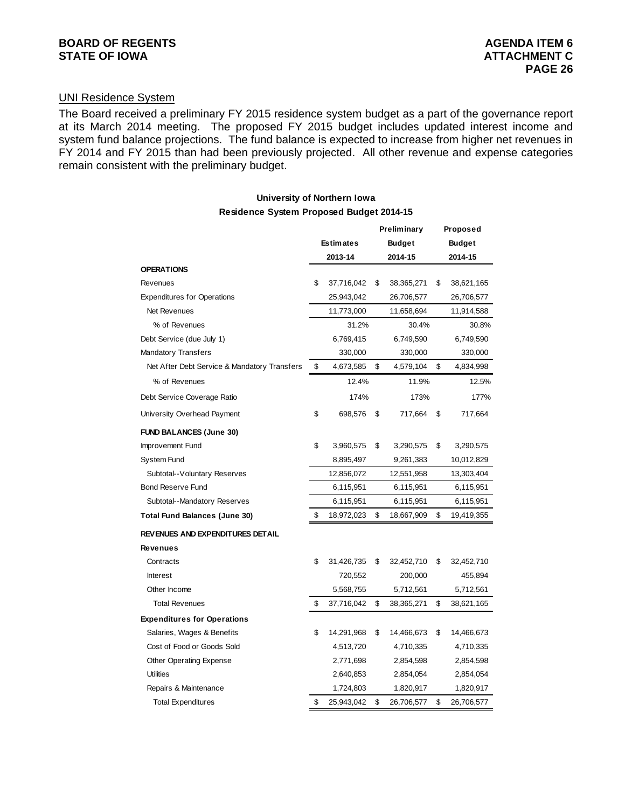# UNI Residence System

The Board received a preliminary FY 2015 residence system budget as a part of the governance report at its March 2014 meeting. The proposed FY 2015 budget includes updated interest income and system fund balance projections. The fund balance is expected to increase from higher net revenues in FY 2014 and FY 2015 than had been previously projected. All other revenue and expense categories remain consistent with the preliminary budget.

### **University of Northern Iowa Residence System Proposed Budget 2014-15**

|                                              |                  | Preliminary   |            | Proposed      |            |
|----------------------------------------------|------------------|---------------|------------|---------------|------------|
|                                              | <b>Estimates</b> | <b>Budget</b> |            | <b>Budget</b> |            |
|                                              | 2013-14          |               | 2014-15    |               | 2014-15    |
| <b>OPERATIONS</b>                            |                  |               |            |               |            |
| Revenues                                     | \$<br>37,716,042 | \$            | 38,365,271 | \$            | 38,621,165 |
| <b>Expenditures for Operations</b>           | 25,943,042       |               | 26,706,577 |               | 26,706,577 |
| Net Revenues                                 | 11,773,000       |               | 11,658,694 |               | 11,914,588 |
| % of Revenues                                | 31.2%            |               | 30.4%      |               | 30.8%      |
| Debt Service (due July 1)                    | 6,769,415        |               | 6,749,590  |               | 6,749,590  |
| Mandatory Transfers                          | 330,000          |               | 330,000    |               | 330,000    |
| Net After Debt Service & Mandatory Transfers | \$<br>4,673,585  | \$            | 4,579,104  | \$            | 4,834,998  |
| % of Revenues                                | 12.4%            |               | 11.9%      |               | 12.5%      |
| Debt Service Coverage Ratio                  | 174%             |               | 173%       |               | 177%       |
| University Overhead Payment                  | \$<br>698,576    | \$            | 717,664    | \$            | 717,664    |
| <b>FUND BALANCES (June 30)</b>               |                  |               |            |               |            |
| Improvement Fund                             | \$<br>3,960,575  | \$            | 3,290,575  | \$            | 3,290,575  |
| <b>System Fund</b>                           | 8,895,497        |               | 9,261,383  |               | 10,012,829 |
| Subtotal--Voluntary Reserves                 | 12,856,072       |               | 12,551,958 |               | 13,303,404 |
| <b>Bond Reserve Fund</b>                     | 6,115,951        |               | 6,115,951  |               | 6,115,951  |
| Subtotal--Mandatory Reserves                 | 6,115,951        |               | 6,115,951  |               | 6,115,951  |
| Total Fund Balances (June 30)                | \$<br>18,972,023 | \$            | 18,667,909 | \$            | 19,419,355 |
| REVENUES AND EXPENDITURES DETAIL             |                  |               |            |               |            |
| <b>Revenues</b>                              |                  |               |            |               |            |
| Contracts                                    | \$<br>31,426,735 | \$            | 32,452,710 | \$            | 32,452,710 |
| Interest                                     | 720,552          |               | 200,000    |               | 455,894    |
| Other Income                                 | 5,568,755        |               | 5,712,561  |               | 5,712,561  |
| <b>Total Revenues</b>                        | \$<br>37,716,042 | \$            | 38,365,271 | \$            | 38,621,165 |
| <b>Expenditures for Operations</b>           |                  |               |            |               |            |
| Salaries, Wages & Benefits                   | \$<br>14,291,968 | \$            | 14,466,673 | \$            | 14,466,673 |
| Cost of Food or Goods Sold                   | 4,513,720        |               | 4,710,335  |               | 4,710,335  |
| Other Operating Expense                      | 2,771,698        |               | 2,854,598  |               | 2,854,598  |
| <b>Utilities</b>                             | 2,640,853        |               | 2,854,054  |               | 2,854,054  |
| Repairs & Maintenance                        | 1,724,803        |               | 1,820,917  |               | 1,820,917  |
| <b>Total Expenditures</b>                    | \$<br>25,943,042 | \$            | 26,706,577 | \$            | 26,706,577 |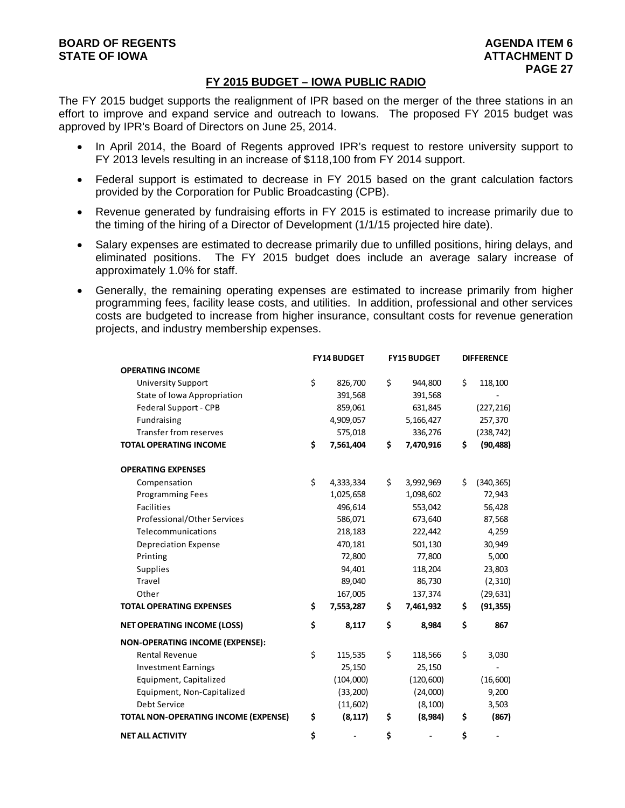# **FY 2015 BUDGET – IOWA PUBLIC RADIO**

The FY 2015 budget supports the realignment of IPR based on the merger of the three stations in an effort to improve and expand service and outreach to Iowans. The proposed FY 2015 budget was approved by IPR's Board of Directors on June 25, 2014.

- In April 2014, the Board of Regents approved IPR's request to restore university support to FY 2013 levels resulting in an increase of \$118,100 from FY 2014 support.
- Federal support is estimated to decrease in FY 2015 based on the grant calculation factors provided by the Corporation for Public Broadcasting (CPB).
- Revenue generated by fundraising efforts in FY 2015 is estimated to increase primarily due to the timing of the hiring of a Director of Development (1/1/15 projected hire date).
- Salary expenses are estimated to decrease primarily due to unfilled positions, hiring delays, and eliminated positions. The FY 2015 budget does include an average salary increase of approximately 1.0% for staff.
- Generally, the remaining operating expenses are estimated to increase primarily from higher programming fees, facility lease costs, and utilities. In addition, professional and other services costs are budgeted to increase from higher insurance, consultant costs for revenue generation projects, and industry membership expenses.

|                                        | <b>FY14 BUDGET</b> |           | <b>FY15 BUDGET</b> |            | <b>DIFFERENCE</b> |            |
|----------------------------------------|--------------------|-----------|--------------------|------------|-------------------|------------|
| <b>OPERATING INCOME</b>                |                    |           |                    |            |                   |            |
| <b>University Support</b>              | \$                 | 826,700   | \$                 | 944,800    | Ś                 | 118,100    |
| State of Iowa Appropriation            |                    | 391,568   |                    | 391,568    |                   |            |
| Federal Support - CPB                  |                    | 859,061   |                    | 631,845    |                   | (227, 216) |
| Fundraising                            |                    | 4,909,057 |                    | 5,166,427  |                   | 257,370    |
| <b>Transfer from reserves</b>          |                    | 575,018   |                    | 336,276    |                   | (238, 742) |
| <b>TOTAL OPERATING INCOME</b>          | \$                 | 7,561,404 | \$                 | 7,470,916  | \$                | (90, 488)  |
| <b>OPERATING EXPENSES</b>              |                    |           |                    |            |                   |            |
| Compensation                           | \$                 | 4,333,334 | \$                 | 3,992,969  | Ś.                | (340, 365) |
| <b>Programming Fees</b>                |                    | 1,025,658 |                    | 1,098,602  |                   | 72,943     |
| <b>Facilities</b>                      |                    | 496,614   |                    | 553,042    |                   | 56,428     |
| Professional/Other Services            |                    | 586,071   |                    | 673,640    |                   | 87,568     |
| Telecommunications                     |                    | 218,183   |                    | 222,442    |                   | 4,259      |
| <b>Depreciation Expense</b>            |                    | 470,181   |                    | 501,130    |                   | 30,949     |
| Printing                               |                    | 72,800    |                    | 77,800     |                   | 5,000      |
| <b>Supplies</b>                        |                    | 94,401    |                    | 118,204    |                   | 23,803     |
| Travel                                 |                    | 89,040    |                    | 86,730     |                   | (2,310)    |
| Other                                  |                    | 167,005   |                    | 137,374    |                   | (29, 631)  |
| <b>TOTAL OPERATING EXPENSES</b>        | \$                 | 7,553,287 | \$                 | 7,461,932  | \$                | (91, 355)  |
| <b>NET OPERATING INCOME (LOSS)</b>     | \$                 | 8,117     | \$                 | 8,984      | \$                | 867        |
| <b>NON-OPERATING INCOME (EXPENSE):</b> |                    |           |                    |            |                   |            |
| <b>Rental Revenue</b>                  | \$                 | 115,535   | \$                 | 118,566    | \$                | 3,030      |
| <b>Investment Earnings</b>             |                    | 25,150    |                    | 25,150     |                   |            |
| Equipment, Capitalized                 |                    | (104,000) |                    | (120, 600) |                   | (16,600)   |
| Equipment, Non-Capitalized             |                    | (33, 200) |                    | (24,000)   |                   | 9,200      |
| Debt Service                           |                    | (11,602)  |                    | (8, 100)   |                   | 3,503      |
| TOTAL NON-OPERATING INCOME (EXPENSE)   | \$                 | (8, 117)  | \$                 | (8,984)    | \$                | (867)      |
| <b>NET ALL ACTIVITY</b>                | \$                 |           | \$                 |            | \$                |            |